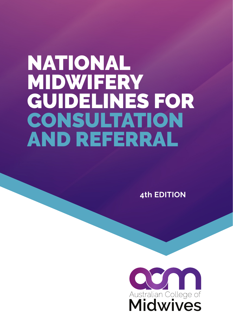# NATIONAL MIDWIFERY GUIDELINES FOR CONSULTATION AND REFERRAL

**4th EDITION**

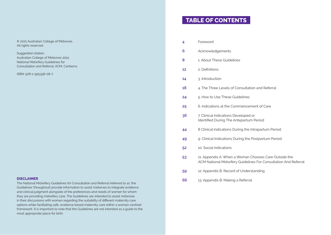© 2021 Australian College of Midwives. All rights reserved.

Suggested citation: Australian College of Midwives 2021, National Midwifery Guidelines for Consultation and Referral, ACM, Canberra.

ISBN: 978-1-925358-08-7

### **DISCLAIMER**

The National Midwifery Guidelines for Consultation and Referral (referred to as 'the Guidelines' throughout) provide information to assist midwives to integrate evidence and clinical judgment alongside of the preferences and needs of women for whom they are providing midwifery care. The Guidelines are intended to assist midwives in their discussions with women regarding the suitability of different maternity care options while facilitating safe, evidence based maternity care within a woman-centred framework. It is important to note that the Guidelines are not intended as a guide to the most appropriate place for birth.

# **TABLE OF CONTENTS**

| 4  | Foreword                                                                                                                 |
|----|--------------------------------------------------------------------------------------------------------------------------|
| 6  | Acknowledgements                                                                                                         |
| 8  | 1. About These Guidelines                                                                                                |
| 12 | 2. Definitions                                                                                                           |
| 14 | 3. Introduction                                                                                                          |
| 18 | 4. The Three Levels of Consultation and Referral                                                                         |
| 24 | 5. How to Use These Guidelines                                                                                           |
| 25 | 6. Indications at the Commencement of Care                                                                               |
| 36 | 7. Clinical Indications Developed or<br>Identified During The Antepartum Period                                          |
| 44 | 8 Clinical Indications During the Intrapartum Period                                                                     |
| 49 | 9. Clinical Indications During the Postpartum Period                                                                     |
| 52 | 10. Social Indications                                                                                                   |
| 53 | 11. Appendix A: When a Woman Chooses Care Outside the<br>ACM National Midwifery Guidelines For Consultation And Referral |
| 59 | 12. Appendix B: Record of Understanding                                                                                  |
| 66 | 13. Appendix B: Making a Referral                                                                                        |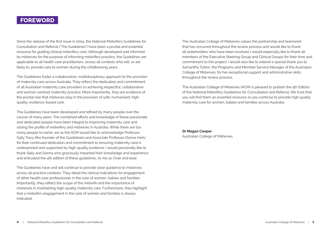## **FOREWORD**

Since the release of the first issue in 2004, the National Midwifery Guidelines for Consultation and Referral ("The Guidelines") have been a pivotal and essential resource for guiding clinical midwifery care. Although developed and informed by midwives for the purpose of informing midwifery practice, the Guidelines are applicable to all health care practitioners, across all contexts who will, or are likely to, provide care to women during the childbearing years.

The Guidelines foster a collaborative, multidisciplinary approach to the provision of maternity care across Australia. They reflect the dedication and commitment of all Australian maternity care providers to achieving respectful, collaborative and woman-centred maternity practice. More importantly, they are evidence of the pivotal role that midwives play in the provision of safe, humanised, highquality, evidence-based care.

The Guidelines have been developed and refined by many people over the course of many years. The combined efforts and knowledge of these passionate and dedicated people have been integral to improving maternity care and raising the profile of midwifery and midwives in Australia. While there are too many people to name, we as the ACM would like to acknowledge Professor Sally Tracy (the founder of the Guidelines) and Associate Professor Donna Hartz for their continued dedication and commitment to ensuring maternity care is underpinned and supported by high-quality evidence. I would personally like to thank Sally and Donna who graciously imparted their knowledge and experience and entrusted the 4th edition of these guidelines, to me as Chair and lead.

The Guidelines have and will continue to provide clear guidance to midwives across all practice contexts. They detail the clinical indications for engagement of other health care professionals in the care of women, babies and families. Importantly, they reflect the scope of the midwife and the importance of midwives in maintaining high-quality maternity care. Furthermore, they highlight that a midwife's engagement in the care of women and families is always indicated.

The Australian College of Midwives values the partnership and teamwork that has occurred throughout the review process and would like to thank all stakeholders who have been involved. I would especially like to thank all members of the Executive Steering Group and Clinical Groups for their time and commitment to this project. I would also like to extend a special thank you to Samantha Tutton, the Programs and Member Service Manager of the Australian College of Midwives, for her exceptional support and administrative skills throughout the review process.

The Australian College of Midwives (ACM) is pleased to publish the 4th Edition of the National Midwifery Guidelines for Consultation and Referral. We trust that you will find them an essential resource as you continue to provide high quality maternity care for women, babies and families across Australia.

**Dr Megan Cooper** Australian College of Midwives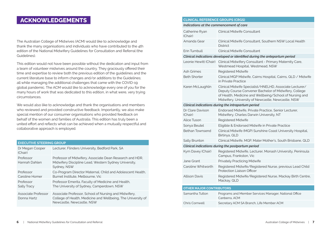## **ACKNOWLEDGEMENTS**

The Australian College of Midwives (ACM) would like to acknowledge and thank the many organisations and individuals who have contributed to the 4th edition of the National Midwifery Guidelines for Consultation and Referral (the Guidelines).

This edition would not have been possible without the dedication and input from a team of volunteer midwives around the country. They graciously offered their time and expertise to review both the previous edition of the guidelines and the current literature base to inform changes and/or additions to the Guidelines; all while managing the additional challenges that came with the COVID-19 global pandemic. The ACM would like to acknowledge every one of you for the many hours of work that was dedicated to this edition, in what were, very trying circumstances.

We would also like to acknowledge and thank the organisations and members who reviewed and provided constructive feedback. Importantly, we also make special mention of our consumer organisations who provided feedback on behalf of the women and families of Australia. This edition has truly been a united effort and reflects what can be achieved when a mutually respectful and collaborative approach is employed.

### **EXECUTIVE STEERING GROUP**

| Dr Megan Cooper<br>(Chair)         | Lecturer, Flinders University, Bedford Park, SA                                                                                                    |
|------------------------------------|----------------------------------------------------------------------------------------------------------------------------------------------------|
| Professor<br>Hannah Dahlen         | Professor of Midwifery, Associate Dean Research and HDR,<br>Midwifery Discipline Lead, Western Sydney University,<br>Sydney, NSW                   |
| Professor<br>Caroline Homer        | Co-Program Director Maternal, Child and Adolescent Health,<br>Burnet Institute, Melbourne, Vic                                                     |
| Professor<br><b>Sally Tracy</b>    | Professor Emerita, Faculty of Medicine and Health,<br>The University of Sydney, Camperdown, NSW                                                    |
| Associate Professor<br>Donna Hartz | Associate Professor, School of Nursing and Midwifery,<br>College of Health, Medicine and Wellbeing, The University of<br>Newcastle, Newcastle, NSW |

### **CLINICAL REFERENCE GROUPS (CRGS)**

### *Indications at the commencement of care*

| marcations at the commencement of care |                                                                                                                                                                                                                                   |
|----------------------------------------|-----------------------------------------------------------------------------------------------------------------------------------------------------------------------------------------------------------------------------------|
| Catherine Ryan<br>(Chair)              | Clinical Midwife Consultant                                                                                                                                                                                                       |
| Amanda Gear                            | Clinical Midwife Consultant, Southern NSW Local Health<br><b>District</b>                                                                                                                                                         |
| Erin Turnbull                          | Clinical Midwife Consultant                                                                                                                                                                                                       |
|                                        | Clinical indications developed or identified during the antepartum period                                                                                                                                                         |
|                                        | Leonie Hewitt (Chair) Clinical Midwifery Consultant - Primary Maternity Care,<br>Westmead Hospital, Westmead, NSW                                                                                                                 |
| <b>Ash Grimes</b>                      | <b>Registered Midwife</b>                                                                                                                                                                                                         |
| <b>Beth Shorter</b>                    | Clinical MGP Midwife, Cairns Hospital, Cairns, QLD / Midwife<br>in Private Practice                                                                                                                                               |
| Karen McLaughlin                       | Clinical Midwife Specialist/HNELHD, Associate Lecturer/<br>Deputy Course Convener Bachelor of Midwifery, College<br>of Health, Medicine and Wellbeing/School of Nursing and<br>Midwifery, University of Newcastle, Newcastle, NSW |
|                                        | Clinical indications during the intrapartum period                                                                                                                                                                                |
| Dr Clare Davison<br>(Chair)            | Endorsed Midwife, Private Practice, Senior Lecturer,<br>Midwifery, Charles Darwin University, NT                                                                                                                                  |
| <b>Alice Tuson</b>                     | <b>Registered Midwife</b>                                                                                                                                                                                                         |
| Sonya Beutel                           | Eligible & Endorsed Midwife in Private Practice                                                                                                                                                                                   |
| <b>Bethan Townsend</b>                 | Clinical Midwife (MGP) Sunshine Coast University Hospital,<br>Birtinya, QLD                                                                                                                                                       |
| Sally Brunton                          | Clinical Midwife, MGP, Mater Mother's, South Brisbane, QLD                                                                                                                                                                        |
|                                        | Clinical indications during the postpartum period                                                                                                                                                                                 |
| Kym Davey (Chair)                      | Registered Midwife, Lecturer, Monash University, Peninsula<br>Campus, Frankston, Vic                                                                                                                                              |
| Jane Grant                             | <b>Privately Practicing Midwife</b>                                                                                                                                                                                               |
| Caroline Whitworth                     | Registered Midwife/Registered Nurse, previous Lead Child<br><b>Protection Liaison Officer</b>                                                                                                                                     |
| <b>Allison Davis</b>                   | Registered Midwife/Registered Nurse, Mackay Birth Centre,<br>Mackay, QLD                                                                                                                                                          |
| <b>OTHER MAJOR CONTRIBUTORS</b>        |                                                                                                                                                                                                                                   |
| Samantha Tutton                        | Programs and Member Services Manager, National Office<br>Canberra, ACM                                                                                                                                                            |
| <b>Chris Cornwell</b>                  | Secretary ACM SA Branch, Life Member ACM                                                                                                                                                                                          |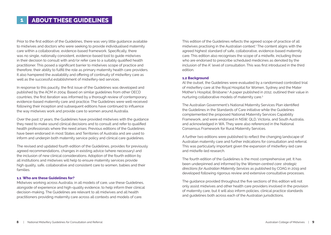Prior to the first edition of the Guidelines, there was very little guidance available to midwives and doctors who were seeking to provide individualised maternity care within a collaborative, evidence-based framework. Specifically, there was no single, nationally consistent, evidence-based tool to guide midwives in their decision to consult with and/or refer care to a suitably qualified health practitioner. This posed a significant barrier to midwives scope of practice and therefore, their ability to fulfill the role as primary maternity health care providers. It also hampered the availability and offering of continuity of midwifery care as well as the successful establishment of midwifery-led services.

In response to this paucity, the first issue of the Guidelines was developed and published by the ACM in 2004. Based on similar guidelines from other OECD countries, the first iteration was informed by a thorough review of contemporary, evidence-based maternity care and practice. The Guidelines were well-received following their inception and subsequent editions have continued to influence the way midwives work and provide care to women around Australia.

Over the past 17 years, the Guidelines have provided midwives with the guidance they need to make sound clinical decisions and to consult and refer to qualified health professionals where the need arises. Previous editions of the Guidelines have been endorsed in most States and Territories of Australia and are used to inform and underpin both maternity service policy and clinical care guidelines.

The revised and updated fourth edition of the Guidelines, provides for previously agreed recommendations, changes in existing advice (where necessary) and the inclusion of new clinical considerations. Adoption of the fourth edition by all institutions and midwives will help to ensure maternity services provide high quality, safe, collaborative and consistent care to women, babies and their families.

### **1.1 Who are these Guidelines for?**

Midwives working across Australia, in all models of care, use these Guidelines, alongside of experience and high-quality evidence, to help inform their clinical decision-making. The Guidelines are relevant to all midwives and all health practitioners providing maternity care across all contexts and models of care.

This edition of the Guidelines reflects the agreed scope of practice of all midwives practising in the Australian context.1 The content aligns with the agreed highest standard of safe, collaborative, evidence-based maternity care. This edition also recognises the scope of a midwife, including those who are endorsed to prescribe scheduled medicines as denoted by the inclusion of the A\* level of consultation. This was first introduced in the third edition.

### **1.2 Background**

At the outset, the Guidelines were evaluated by a randomised controlled trial of midwifery care at the Royal Hospital for Women, Sydney and the Mater Mother's Hospital, Brisbane.<sup>2</sup> A paper published in 2012, outlined their value in nurturing collaborative models of maternity care.3

The Australian Government's National Maternity Services Plan identified the Guidelines in the Standards of Care initiative while the Guidelines complemented the proposed National Maternity Services Capability Framework, and were endorsed in NSW, QLD, Victoria, and South Australia, and acknowledged in WA. They were also referenced in the National Consensus Framework for Rural Maternity Services.

A further two editions were published to reflect the changing landscape of Australian maternity care and further indications for consultation and referral. This was particularly important given the expansion of midwifery-led care and midwife-led research.

The fourth edition of the Guidelines is the most comprehensive yet. It has been underpinned and informed by the *Woman-centred care: strategic directions for Australian Maternity Services* as published by COAG in 2019 and developed following rigorous review and extensive consultative processes.

The guidance provided throughout the five sections of this edition will not only assist midwives and other health care providers involved in the provision of maternity care, but it will also inform policies, clinical practice standards and guidelines both across each of the Australian jurisdictions.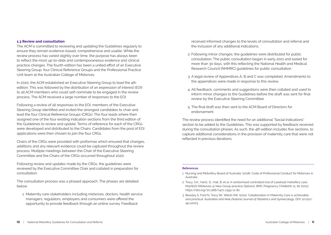### **1.3 Review and consultation**

The ACM is committed to reviewing and updating the Guidelines regularly to ensure they remain evidence-based, comprehensive and usable. While the review process has varied slightly over time, the purpose has always been to reflect the most up-to-date and contemporaneous evidence and clinical practice changes. The fourth edition has been a united effort of an Executive Steering Group, four Clinical Reference Groups and the Professional Practice Unit team at the Australian College of Midwives.

In 2020, the ACM established an Executive Steering Group to lead the 4th edition. This was followed by the distribution of an expression of interest (EOI) to all ACM members who could self-nominate to be engaged in the review process. The ACM received a large number of responses to the EOI.

Following a review of all responses to the EOI, members of the Executive Steering Group identified and invited the strongest candidates to chair and lead the four Clinical Reference Groups (CRGs). The four leads where then assigned one of the four existing indication sections from the third edition of the Guidelines to review and update. Terms of reference for each of the CRGs were developed and distributed to the Chairs. Candidates from the pool of EOI applications were then chosen to join the four CRGs.

Chairs of the CRGs were provided with proformas which ensured that changes, additions and any relevant evidence could be captured throughout the review process. Multiple meetings between the Chair of the Executive Steering Committee and the Chairs of the CRGs occurred throughout 2020.

Following review and updates made by the CRGs, the guidelines were reviewed by the Executive Committee Chair and collated in preparation for consultation.

The consultation process was a phased approach. The phases are detailed below:

1. Maternity care stakeholders including midwives, doctors, health service managers, regulators, employers and consumers were offered the opportunity to provide feedback through an online survey. Feedback

received informed changes to the levels of consultation and referral and the inclusion of any additional indications.

- 2. Following minor changes, the guidelines were distributed for public consultation. The public consultation began in early 2021 and lasted for more than 30 days, with this reflecting the National Health and Medical Research Council (NHMRC) guidelines for public consultation.
- 3. A legal review of Appendices A, B and C was completed. Amendments to the appendices were made in response to this review.
- 4. All feedback, comments and suggestions were then collated and used to inform minor changes to the Guidelines before the draft was sent for final review by the Executive Steering Committee.
- 5. The final draft was then sent to the ACM Board of Directors for endorsement.

The review process identified the need for an additional "Social Indications" section to be added to the Guidelines. This was supported by feedback received during the consultation phases. As such, the 4th edition includes five sections, to capture additional considerations in the provision of maternity care that were not reflected in previous iterations.

### **References**

- 1 Nursing and Midwifery Board of Australia. (2018). Code of Professional Conduct for Midwives in Australia.
- 2 Tracy, S.K., Hartz, D., Hall, B. et al. A randomised controlled trial of caseload midwifery care: M@NGO (Midwives @ New Group practice Options). BMC Pregnancy Childbirth 11, 82 (2011). https://doi.org/10.1186/1471-2393-11-82
- 3 Beasley S, Ford N, Tracy SK, Welsh AW. (2012). Collaboration in Maternity Care is achievable and practical. *Australian and New Zealand Journal of Obstetrics and Gynaecology,* DOI: 10.1111/ ajo.12003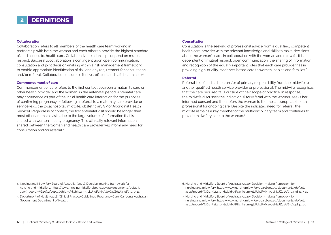### **Collaboration**

Collaboration refers to all members of the health care team working in partnership with both the woman and each other to provide the highest standard of, and access to, health care. Collaborative relationships depend on mutual respect. Successful collaboration is contingent upon open communication, consultation and joint decision-making within a risk management framework, to enable appropriate identification of risk and any requirement for consultation and/or referral. Collaboration ensures effective, efficient and safe health care.<sup>4</sup>

### **Commencement of care**

Commencement of care refers to the first contact between a maternity care or other health provider and the woman, in the antenatal period. Antenatal care may commence as part of the initial health care interaction for the purposes of confirming pregnancy or following a referral to a maternity care provider or service (e.g., the local hospital, midwife, obstetrician, GP or Aboriginal Health Service). Regardless of context, the first antenatal visit should be longer than most other antenatal visits due to the large volume of information that is shared with women in early pregnancy. This clinically relevant information shared between the woman and health care provider will inform any need for consultation and/or referral.5

### **Consultation**

Consultation is the seeking of professional advice from a qualified, competent health care provider with the relevant knowledge and skills to make decisions about the woman's care, in collaboration with the woman and midwife. It is dependent on mutual respect, open communication, the sharing of information and recognition of the equally important roles that each care provider has in providing high-quality, evidence-based care to women, babies and families.<sup>6</sup>

### **Referral**

Referral is defined as the transfer of primary responsibility from the midwife to another qualified health service provider or professional. The midwife recognises that the care required falls outside of their scope of practice. In response, the midwife discusses the indication(s) for referral with the woman, seeks her informed consent and then refers the woman to the most appropriate health professional for ongoing care. Despite the indicated need for referral, the midwife remains a key member of the multidisciplinary team and continues to provide midwifery care to the woman.7

- 4. Nursing and Midwifery Board of Australia. (2020). Decision-making framework for nursing and midwifery, https://www.nursingmidwiferyboard.gov.au/documents/default. aspx?record=WD19%2f29157&dbid=AP&chksum=9LilUkdFvM5AJeKIaJZd1A%3d%3d, p. 11.
- 5. Department of Health (2018) Clinical Practice Guidelines: Pregnancy Care. Canberra: Australian Government Department of Health.
- 6. Nursing and Midwifery Board of Australia. (2020). Decision-making framework for nursing and midwifery, https://www.nursingmidwiferyboard.gov.au/documents/default. aspx?record=WD19%2f29157&dbid=AP&chksum=9LilUkdFvM5AJeKIaJZd1A%3d%3d, p. 7, 11.
- 7. Nursing and Midwifery Board of Australia. (2020). Decision-making framework for nursing and midwifery, https://www.nursingmidwiferyboard.gov.au/documents/default. aspx?record=WD19%2f29157&dbid=AP&chksum=9LilUkdFvM5AJeKIaJZd1A%3d%3d, p. 13.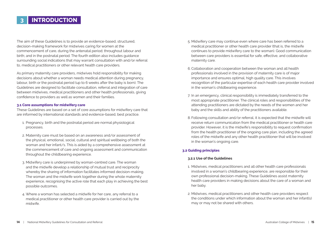# **3 INTRODUCTION**

The aim of these Guidelines is to provide an evidence-based, structured, decision-making framework for midwives caring for women at the commencement of care, during the antenatal period; throughout labour and birth; and in the postnatal period. The fourth edition also includes guidance surrounding social indications that may warrant consultation with and/or referral to, medical practitioners or other relevant health care providers.

As primary maternity care providers, midwives hold responsibility for making decisions about whether a woman needs medical attention during pregnancy, labour, birth or the postnatal period (up to 6 weeks after the baby is born). The Guidelines are designed to facilitate consultation, referral and integration of care between midwives, medical practitioners and other health professionals, giving confidence to providers as well as women and their families.

### **3.1 Core assumptions for midwifery care**

These Guidelines are based on a set of core assumptions for midwifery care that are informed by international standards and evidence-based, best practice.

- 1. Pregnancy, birth and the postnatal period are normal physiological processes.
- 2. Maternity care must be based on an awareness and/or assessment of the physical, emotional, social, cultural and spiritual wellbeing of both the woman and her infant/s. This is aided by a comprehensive assessment at the commencement of care and ongoing assessment and communication throughout the childbearing experience.
- 3. Midwifery care is underpinned by woman-centred care. The woman and the midwife develop a relationship of mutual trust and reciprocity whereby the sharing of information facilitates informed decision-making. The woman and the midwife work together during the whole maternity experience, recognising the active role that each play in achieving the best possible outcomes.
- 4. Where a woman has selected a midwife for her care, any referral to a medical practitioner or other health care provider is carried out by the midwife.
- 5. Midwifery care may continue even where care has been referred to a medical practitioner or other health care provider (that is, the midwife continues to provide midwifery care to the woman). Good communication between care providers is essential for safe, effective, and collaborative maternity care.
- 6. Collaboration and cooperation between the woman and all health professionals involved in the provision of maternity care is of major importance and ensures optimal, high quality care. This involves recognition of the particular expertise of each health care provider involved in the woman's childbearing experience.
- 7. In an emergency, clinical responsibility is immediately transferred to the most appropriate practitioner. The clinical roles and responsibilities of the attending practitioners are dictated by the needs of the women and her baby and the skills and ability of the practitioners available.
- 8. Following consultation and/or referral, it is expected that the midwife will receive return communication from the medical practitioner or health care provider. However, it is the midwife's responsibility to request confirmation from the health practitioner of the ongoing care plan, including the agreed roles of the midwife and any other health practitioner that will be involved in the woman's ongoing care.

### **3.2 Guiding principles**

### **3.2.1 Use of the Guidelines**

- 1. Midwives, medical practitioners and all other health care professionals involved in a woman's childbearing experience, are responsible for their own professional decision-making. These Guidelines assist maternity health care providers in making decisions about the care of a woman and her baby.
- 2. Midwives, medical practitioners and other health care providers respect the conditions under which information about the woman and her infant(s) may or may not be shared with others.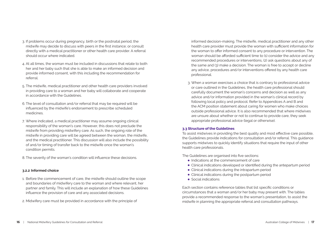- 3. If problems occur during pregnancy, birth or the postnatal period, the midwife may decide to discuss with peers in the first instance; or consult directly with a medical practitioner or other health care provider. A referral should occur where indicated.
- 4. At all times, the woman must be included in discussions that relate to both her and her baby such that she is able to make an informed decision and provide informed consent, with this including the recommendation for referral.
- 5. The midwife, medical practitioner and other health care providers involved in providing care to a woman and her baby will collaborate and cooperate in accordance with the Guidelines.
- 6. The level of consultation and/or referral that may be required will be influenced by the midwife's endorsement to prescribe scheduled medicines.
- 7. Where indicated, a medical practitioner may assume ongoing clinical responsibility of the woman's care. However, this does not preclude the midwife from providing midwifery care. As such, the ongoing role of the midwife in providing care will be agreed between the woman, the midwife, and the medical practitioner. This discussion will also include the possibility of and/or timing of transfer back to the midwife once the woman's condition permits.
- 8. The severity of the woman's condition will influence these decisions.

### **3.2.2 Informed choice**

- 1. Before the commencement of care, the midwife should outline the scope and boundaries of midwifery care to the woman and where relevant, her partner and family. This will include an explanation of how these Guidelines influence the provision of care and any associated decisions.
- 2. Midwifery care must be provided in accordance with the principle of

informed decision-making. The midwife, medical practitioner and any other health care provider must provide the woman with sufficient information for the woman to offer informed consent to any procedure or intervention. The woman should be afforded sufficient time to (1) consider the advice and any recommended procedures or interventions, (2) ask questions about any of the same and (3) make a decision. The woman is free to accept or decline any advice, procedures and/or interventions offered by any health care professional.

3. When a woman exercises a choice that is contrary to professional advice or care outlined in the Guidelines, the health care professional should carefully document the woman's concerns and decision as well as any advice and/or information provided in the woman's clinical record by following local policy and protocol. Refer to Appendices A and B and the ACM position statement about caring for women who make choices outside professional advice. It is also recommended that where midwives are unsure about whether or not to continue to provide care, they seek appropriate professional advice (legal or otherwise).

### **3.3 Structure of the Guidelines**

To assist midwives in providing the best quality and most effective care possible, the Guidelines provide indications for consultation and/or referral. This guidance supports midwives to quickly identify situations that require the input of other health care professionals.

The Guidelines are organised into five sections:

- Indications at the commencement of care
- Clinical indications developed or identified during the antepartum period
- Clinical indications during the intrapartum period
- Clinical indications during the postpartum period
- Social indications

Each section contains reference tables that list specific conditions or circumstances that a woman and/or her baby may present with. The tables provide a recommended response to the woman's presentation, to assist the midwife in planning the appropriate referral and consultation pathways.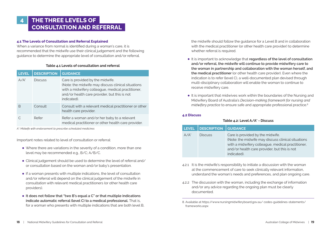# **4 THE THREE LEVELS OF CONSULTATION AND REFERRAL**

### **4.1 The Levels of Consultation and Referral Explained**

When a variance from normal is identified during a woman's care, it is recommended that the midwife use their clinical judgement and the following guidance to determine the appropriate level of consultation and/or referral.

### **Table 4.1 Levels of consultation and referral**

| <b>LEVEL</b> | <b>DESCRIPTION</b> | <b>GUIDANCE</b>                                                                                                                                                                                             |
|--------------|--------------------|-------------------------------------------------------------------------------------------------------------------------------------------------------------------------------------------------------------|
| $A/A^*$      | <b>Discuss</b>     | Care is provided by the midwife.<br>(Note: the midwife may discuss clinical situations)<br>with a midwifery colleague, medical practitioner,<br>and/or health care provider, but this is not<br>indicated). |
| B            | Consult            | Consult with a relevant medical practitioner or other<br>health care provider.                                                                                                                              |
|              | Refer              | Refer a woman and/or her baby to a relevant<br>medical practitioner or other health care provider.                                                                                                          |

*A\*: Midwife with endorsement to prescribe scheduled medicines*

Important notes related to level of consultation or referral:

- Where there are variations in the severity of a condition, more than one level may be recommended e.g., B/C; A/B/C.
- Clinical judgement should be used to determine the level of referral and/ or consultation based on the woman and/or baby's presentation.
- If a woman presents with multiple indications, the level of consultation and/or referral will depend on the clinical judgement of the midwife in consultation with relevant medical practitioners (or other health care providers).
- **It does not follow that "two B's equal a C" or that multiple indications indicate automatic referral (level C) to a medical professional.** That is, for a woman who presents with multiple indications that are both level B,

the midwife should follow the guidance for a Level B and in collaboration with the medical practitioner (or other health care provider) to determine whether referral is required.

- It is important to acknowledge that **regardless of the level of consultation and/or referral, the midwife will continue to provide midwifery care to the woman in partnership and collaboration with the woman herself, and the medical practitioner** (or other health care provider). Even where the indication is to refer (level C), a well-documented plan devised through multi-disciplinary collaboration will enable the woman to continue to receive midwifery care.
- It is important that midwives work within the boundaries of the Nursing and Midwifery Board of Australia's *Decision-making framework for nursing and midwifery practice* to ensure safe and appropriate professional practice.<sup>8</sup>

### **4.2 Discuss**

### **Table 4.2: Level A/A\* - Discuss**

| <b>LEVEL</b> | <b>DESCRIPTION</b> | <b>GUIDANCE</b>                                                                                                                                                                                            |
|--------------|--------------------|------------------------------------------------------------------------------------------------------------------------------------------------------------------------------------------------------------|
| $A/A^*$      | <b>Discuss</b>     | Care is provided by the midwife.<br>(Note: the midwife may discuss clinical situations<br>with a midwifery colleague, medical practitioner,<br>and/or health care provider, but this is not<br>indicated). |

- 4.2.1 It is the midwife's responsibility to initiate a discussion with the woman at the commencement of care to seek clinically relevant information, understand the woman's needs and preferences, and plan ongoing care.
- 4.2.2 The discussion with the woman, including the exchange of information and/or any advice regarding the ongoing plan must be clearly documented.

<sup>8.</sup> Available at https://www.nursingmidwiferyboard.gov.au/ codes-guidelines-statements/ frameworks.aspx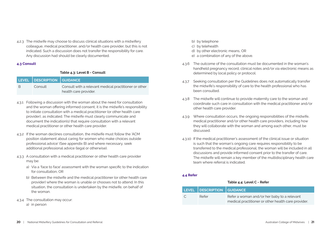4.2.3 The midwife may choose to discuss clinical situations with a midwifery colleague, medical practitioner, and/or health care provider, but this is not indicated. Such a discussion does not transfer the responsibility for care. Any discussion had should be clearly documented.

### **4.3 Consult**

### **Table 4.3: Level B - Consult**

|     | LEVEL   DESCRIPTION   GUIDANCE |                                                                                |
|-----|--------------------------------|--------------------------------------------------------------------------------|
| - B | Consult                        | Consult with a relevant medical practitioner or other<br>health care provider. |

- 4.3.1 Following a discussion with the woman about the need for consultation and the woman offering informed consent, it is the midwife's responsibility to initiate consultation with a medical practitioner (or other health care provider), as indicated. The midwife must clearly communicate and document the indication(s) that require consultation with a relevant medical practitioner or other health care provider.
- 4.3.2 If the woman declines consultation, the midwife must follow the 'ACM position statement about caring for women who make choices outside professional advice' (See appendix B) and where necessary, seek additional professional advice (legal or otherwise).
- 4.3.3 A consultation with a medical practitioner or other health care provider may be:
	- a) Via a 'face to face' assessment with the woman specific to the indication for consultation, OR
	- b) Between the midwife and the medical practitioner (or other health care provider) where the woman is unable or chooses not to attend. In this situation, the consultation is undertaken by the midwife, on behalf of the woman.
- 4.3.4 The consultation may occur:
	- a) in person
- b) by telephone
- c) by telehealth
- d) by other electronic means, OR
- e) a combination of any of the above.
- 4.3.6 The outcome of the consultation must be documented in the woman's handheld pregnancy record, clinical notes and/or via electronic means as determined by local policy or protocol.
- 4.3.7 Seeking consultation per the Guidelines does not automatically transfer the midwife's responsibility of care to the health professional who has been consulted.
- 4.3.8 The midwife will continue to provide maternity care to the woman and coordinate such care in consultation with the medical practitioner and/or other health care provider.
- 4.3.9 Where consultation occurs, the ongoing responsibilities of the midwife, medical practitioner and/or other health care providers, including how they will collaborate with the woman and among each other, must be discussed.
- 4.3.10 If the medical practitioner's assessment of the clinical issue or situation is such that the woman's ongoing care requires responsibility to be transferred to the medical professional, the woman will be included in all discussions and provide informed consent prior to the transfer of care. The midwife will remain a key member of the multidisciplinary health care team where referral is indicated

### **4.4 Refer**

### **Table 4.4: Level C - Refer**

|                | LEVEL DESCRIPTION GUIDANCE |                                                                                                    |
|----------------|----------------------------|----------------------------------------------------------------------------------------------------|
| $\overline{C}$ | Refer                      | Refer a woman and/or her baby to a relevant<br>medical practitioner or other health care provider. |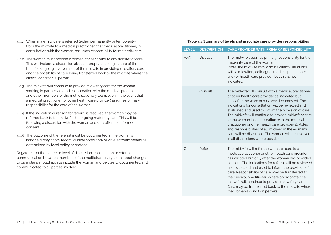- 4.4.1 When maternity care is referred (either permanently or temporarily) from the midwife to a medical practitioner, that medical practitioner, in consultation with the woman, assumes responsibility for maternity care.
- 4.4.2 The woman must provide informed consent prior to any transfer of care. This will include a discussion about appropriate timing, nature of the transfer, ongoing involvement of the midwife in providing midwifery care and the possibility of care being transferred back to the midwife where the clinical condition(s) permit.
- 4.4.3 The midwife will continue to provide midwifery care for the woman, working in partnership and collaboration with the medical practitioner and other members of the multidisciplinary team, even in the event that a medical practitioner (or other health care provider) assumes primary responsibility for the care of the woman.
- 4.4.4 If the indication or reason for referral is resolved, the woman may be referred back to the midwife, for ongoing maternity care. This will be following a discussion with the woman and only after her informed consent.
- 4.4.5 The outcome of the referral must be documented in the woman's handheld pregnancy record, clinical notes and/or via electronic means as determined by local policy or protocol.

Regardless of the nature or level of discussion, consultation or referral, communication between members of the multidisciplinary team about changes to care plans should always include the woman and be clearly documented and communicated to all parties involved.

### **Table 4.4 Summary of levels and associate care provider responsibilities**

| <b>LEVEL</b> | <b>DESCRIPTION</b> | <b>CARE PROVIDER WITH PRIMARY RESPONSIBILITY</b>                                                                                                                                                                                                                                                                                                                                                                                                                                                                                                                                         |
|--------------|--------------------|------------------------------------------------------------------------------------------------------------------------------------------------------------------------------------------------------------------------------------------------------------------------------------------------------------------------------------------------------------------------------------------------------------------------------------------------------------------------------------------------------------------------------------------------------------------------------------------|
| $A/A^*$      | <b>Discuss</b>     | The midwife assumes primary responsibility for the<br>maternity care of the woman.<br>(Note: the midwife may discuss clinical situations<br>with a midwifery colleague, medical practitioner,<br>and/or health care provider, but this is not<br>indicated).                                                                                                                                                                                                                                                                                                                             |
| <sub>B</sub> | Consult            | The midwife will consult with a medical practitioner<br>or other health care provider as indicated but<br>only after the woman has provided consent. The<br>indications for consultation will be reviewed and<br>evaluated and used to inform the provision of care.<br>The midwife will continue to provide midwifery care<br>to the woman in collaboration with the medical<br>practitioner or other health care provider(s). Roles<br>and responsibilities of all involved in the woman's<br>care will be discussed. The woman will be involved<br>in all discussions where possible. |
| C            | Refer              | The midwife will refer the woman's care to a<br>medical practitioner or other health care provider<br>as indicated but only after the woman has provided<br>consent. The indications for referral will be reviewed<br>and evaluated and used to inform the provision of<br>care. Responsibility of care may be transferred to<br>the medical practitioner. Where appropriate, the<br>midwife will continue to provide midwifery care.<br>Care may be transferred back to the midwife where<br>the woman's condition permits.                                                             |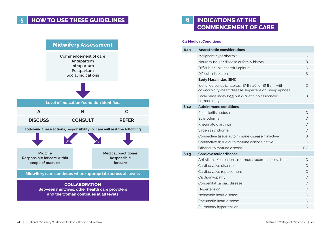# **5 HOW TO USE THESE GUIDELINES 6 INDICATIONS AT THE**



# **COMMENCEMENT OF CARE**

| 6.1.1 | <b>Anaesthetic considerations</b>                                                                                   |              |
|-------|---------------------------------------------------------------------------------------------------------------------|--------------|
|       | Malignant hyperthermia                                                                                              | C            |
|       | Neuromuscular disease or family history                                                                             | B            |
|       | Difficult or unsuccessful epidural                                                                                  | $\mathsf{C}$ |
|       | Difficult intubation                                                                                                | B            |
|       | <b>Body Mass Index (BMI)</b>                                                                                        |              |
|       | Identified bariatric habitus (BMI > 40) or BMI >35 with<br>co-morbidity (heart disease, hypertension, sleep apnoea) | C            |
|       | Body mass index (>35 but <40 with no associated<br>co-morbidity)                                                    | B            |
| 6.1.2 | <b>Autoimmune conditions</b>                                                                                        |              |
|       | Periarteritis nodosa                                                                                                | C            |
|       | Scleroderma                                                                                                         | C            |
|       | Rheumatoid arthritis                                                                                                | $\mathsf{C}$ |
|       | Sjrgen's syndrome                                                                                                   | C            |
|       | Connective tissue autoimmune disease if inactive                                                                    | B            |
|       | Connective tissue autoimmune disease active                                                                         | C            |
|       | Other autoimmune disease                                                                                            | B/C          |
| 6.1.3 | Cardiovascular disease                                                                                              |              |
|       | Arrhythmia/palpations; murmurs: recurrent, persistent                                                               | C            |
|       | Cardiac valve disease                                                                                               | C            |
|       | Cardiac valve replacement                                                                                           | $\mathsf{C}$ |
|       | Cardiomyopathy                                                                                                      | C            |
|       | Congenital cardiac disease                                                                                          | C            |
|       | Hypertension                                                                                                        | $\mathsf{C}$ |
|       | Ischaemic heart disease                                                                                             | $\mathsf{C}$ |
|       | Rheumatic heart disease                                                                                             | C            |
|       | Pulmonary hypertension                                                                                              | C            |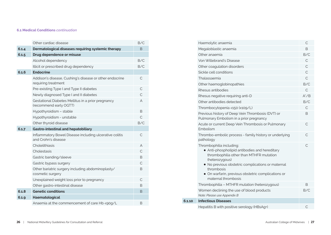### **6.1 Medical Conditions** *continuation*

|       | Other cardiac disease                                                          | B/C            |
|-------|--------------------------------------------------------------------------------|----------------|
| 6.1.4 | Dermatological diseases requiring systemic therapy                             | <sub>B</sub>   |
| 6.1.5 | Drug dependence or misuse                                                      |                |
|       | Alcohol dependency                                                             | B/C            |
|       | Illicit or prescribed drug dependency                                          | B/C            |
| 6.1.6 | <b>Endocrine</b>                                                               |                |
|       | Addison's disease, Cushing's disease or other endocrine<br>requiring treatment | С              |
|       | Pre-existing Type I and Type II diabetes                                       | $\mathsf{C}$   |
|       | Newly diagnosed Type I and II diabetes                                         | C              |
|       | Gestational Diabetes Mellitus in a prior pregnancy<br>(recommend early OGTT)   | A              |
|       | Hypothyroidism - stable                                                        | B              |
|       | Hypothyroidism - unstable                                                      | $\mathsf{C}$   |
|       | Other thyroid disease                                                          | B/C            |
| 6.1.7 | Gastro-intestinal and hepatobiliary                                            |                |
|       | Inflammatory Bowel Disease including ulcerative colitis<br>and Crohn's disease | C              |
|       | Cholelithiasis                                                                 | $\overline{A}$ |
|       | Cholestasis                                                                    | $\mathcal{C}$  |
|       | Gastric banding/sleeve                                                         | B              |
|       | Gastric bypass surgery                                                         | $\mathsf{C}$   |
|       | Other bariatric surgery including abdominoplasty/<br>cosmetic surgery          | B              |
|       | Unexplained weight loss prior to pregnancy                                     | C              |
|       | Other gastro-intestinal disease                                                | B              |
| 6.1.8 | <b>Genetic conditions</b>                                                      | B              |
| 6.1.9 | Haematological                                                                 |                |
|       | Anaemia at the commencement of care Hb <90g/L                                  | B              |

|        | Haemolytic anaemia                                                                                                                                                                                                                                                                     | С             |
|--------|----------------------------------------------------------------------------------------------------------------------------------------------------------------------------------------------------------------------------------------------------------------------------------------|---------------|
|        | Megaloblastic anaemia                                                                                                                                                                                                                                                                  | B             |
|        | Other anaemia                                                                                                                                                                                                                                                                          | B/C           |
|        | Von Willebrand's Disease                                                                                                                                                                                                                                                               | $\mathsf{C}$  |
|        | Other coagulation disorders                                                                                                                                                                                                                                                            | $\mathcal{C}$ |
|        | Sickle cell conditions                                                                                                                                                                                                                                                                 | C             |
|        | Thalassaemia                                                                                                                                                                                                                                                                           | $\mathsf{C}$  |
|        | Other haemoglobinopathies                                                                                                                                                                                                                                                              | B/C           |
|        | Rhesus antibodies                                                                                                                                                                                                                                                                      | $\mathsf{C}$  |
|        | Rhesus negative requiring anti-D                                                                                                                                                                                                                                                       | $A^*/B$       |
|        | Other antibodies detected                                                                                                                                                                                                                                                              | B/C           |
|        | Thrombocytopenia <150 (x109/L)                                                                                                                                                                                                                                                         | C             |
|        | Previous history of Deep Vein Thrombosis (DVT) or<br>Pulmonary Embolism in a prior pregnancy                                                                                                                                                                                           | B             |
|        | Acute or current Deep Vein Thrombosis or Pulmonary<br>Embolism                                                                                                                                                                                                                         | $\mathsf{C}$  |
|        | Thrombo-embolic process - family history or underlying<br>pathology                                                                                                                                                                                                                    | $\mathsf{C}$  |
|        | Thrombophilia including:<br>• Anti-phospholipid antibodies and hereditary<br>thrombophilia other than MTHFR mutation<br>(heterozygous)<br>• No previous obstetric complications or maternal<br>thrombosis<br>· On warfarin, previous obstetric complications or<br>maternal thrombosis | $\mathsf{C}$  |
|        | Thrombophilia - MTHFR mutation (heterozygous)                                                                                                                                                                                                                                          | B.            |
|        | Women declining the use of blood products<br>Note: Please use Appendix B                                                                                                                                                                                                               | B/C           |
| 6.1.10 | <b>Infectious Diseases</b>                                                                                                                                                                                                                                                             |               |
|        | Hepatitis B with positive serology (HBsAg+)                                                                                                                                                                                                                                            | С             |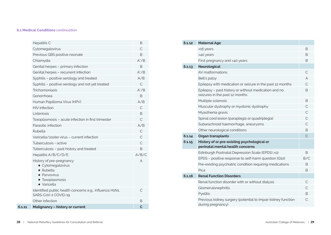### **6.1 Medical Conditions** *continuation*

| 6.1.11 | <b>Malignancy - history or current</b>                                                                               | $\mathbf C$  |
|--------|----------------------------------------------------------------------------------------------------------------------|--------------|
|        | Other infection                                                                                                      | B            |
|        | Identified public health concerns e.g., Influenza H1N1,<br>SARS-CoV-2 COVID-19                                       | С            |
|        | History of pre-pregnancy<br>• Cytomegalovirus<br>$\bullet$ Rubella<br>• Parvovirus<br>• Toxoplasmosis<br>• Varicella | A            |
|        | Hepatitis A/B/C/D/E                                                                                                  | A/B/C        |
|        | Tuberculosis - past history and treated                                                                              | B            |
|        | Tuberculosis - active                                                                                                | C            |
|        | Varicella/zoster virus - current infection                                                                           | C            |
|        | Rubella                                                                                                              | C            |
|        | Parasitic infection                                                                                                  | A/B          |
|        | Toxoplasmosis - acute infection in first trimester                                                                   | C            |
|        | Listeriosis                                                                                                          | B            |
|        | <b>HIV</b> infection                                                                                                 | C            |
|        | Human Papilloma Virus (HPV)                                                                                          | A/B          |
|        | Gonorrhoea                                                                                                           | <sub>B</sub> |
|        | Trichomoniasis                                                                                                       | $A^*/B$      |
|        | Syphilis - positive serology and not yet treated                                                                     | C            |
|        | Syphilis - positive serology and treated                                                                             | A/B          |
|        | Genital herpes - recurrent infection                                                                                 | $A^*/B$      |
|        | Genital herpes - primary infection                                                                                   | <sub>B</sub> |
|        | Chlamydia                                                                                                            | $A^*/B$      |
|        | Previous GBS positive neonate                                                                                        | B            |
|        | Cytomegalovirus                                                                                                      | C            |
|        | Hepatitis C                                                                                                          | B            |

| 6.1.12 | <b>Maternal Age</b>                                                                    |                |
|--------|----------------------------------------------------------------------------------------|----------------|
|        | <16 years                                                                              | В              |
|        | >40 years                                                                              | В              |
|        | First pregnancy and >40 years                                                          | B              |
| 6.1.13 | <b>Neurological</b>                                                                    |                |
|        | AV malformations                                                                       | C              |
|        | Bell's palsy                                                                           | А              |
|        | Epilepsy with medication or seizure in the past 12 months                              | C              |
|        | Epilepsy - past history or without medication and no<br>seizures in the past 12 months | B              |
|        | Multiple sclerosis                                                                     | B              |
|        | Muscular dystrophy or myotonic dystrophy                                               | $\mathsf{C}$   |
|        | Myasthenia gravis                                                                      | C              |
|        | Spinal cord lesion (paraplegia or quadriplegia)                                        | C              |
|        | Subarachnoid haemorrhage, aneurysms                                                    | $\mathsf{C}$   |
|        | Other neurological conditions                                                          | B              |
| 6.1.14 | <b>Organ transplants</b>                                                               | $\overline{C}$ |
| 6.1.15 | History of or pre-existing psychological or<br>perinatal mental health concerns        |                |
|        | Edinburgh Postnatal Depression Scale (EPDS) >12                                        | B.             |
|        | EPDS - positive response to self-harm question (Q10)                                   | B/C            |
|        | Pre-existing psychiatric condition requiring medications                               | B.             |
|        | Pica                                                                                   | В              |
| 6.1.16 | <b>Renal Function Disorders</b>                                                        |                |
|        | Renal function disorder with or without dialysis                                       | C              |
|        | Glomerulonephritis                                                                     | $\mathsf{C}$   |
|        | Pyelitis                                                                               | B              |
|        | Previous kidney surgery (potential to impair kidney function<br>during pregnancy)      | С              |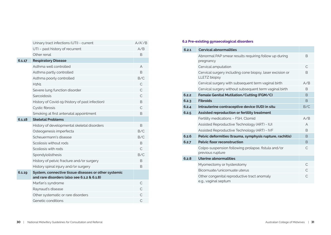|        | Urinary tract infections (UTI) - current                                                            | $A/A^*/B$      |
|--------|-----------------------------------------------------------------------------------------------------|----------------|
|        | UTI - past history of recurrent                                                                     | A/B            |
|        | Other renal                                                                                         | B.             |
| 6.1.17 | <b>Respiratory Disease</b>                                                                          |                |
|        | Asthma well controlled                                                                              | A              |
|        | Asthma partly controlled                                                                            | <sub>B</sub>   |
|        | Asthma poorly controlled                                                                            | B/C            |
|        | H1N1                                                                                                | C              |
|        | Severe lung function disorder                                                                       | $\overline{C}$ |
|        | Sarcoidosis                                                                                         | $\overline{C}$ |
|        | History of Covid-19 (history of past infection)                                                     | B              |
|        | Cystic fibrosis                                                                                     | $\mathsf{C}$   |
|        | Smoking at first antenatal appointment                                                              | <sub>R</sub>   |
| 6.1.18 | <b>Skeletal Problems</b>                                                                            |                |
|        | History of developmental skeletal disorders                                                         | B.             |
|        | Osteogenesis imperfecta                                                                             | B/C            |
|        | Scheuermann's disease                                                                               | B/C            |
|        | Scoliosis without rods                                                                              | B.             |
|        | Scoliosis with rods                                                                                 | $\mathsf{C}$   |
|        | Spondylolisthesis                                                                                   | B/C            |
|        | History of pelvic fracture and/or surgery                                                           | B.             |
|        | History spinal injury and/or surgery                                                                | B.             |
| 6.1.19 | System, connective tissue diseases or other systemic<br>and rare disorders (also see 6.1.2 & 6.1.8) |                |
|        | Marfan's syndrome                                                                                   | C              |
|        | Raynaud's disease                                                                                   | C              |
|        | Other systematic or rare disorders                                                                  | C              |
|        | Genetic conditions                                                                                  | C              |

### **6.2 Pre-existing gynaecological disorders**

| 6.2.1 | <b>Cervical abnormalities</b>                                                    |               |
|-------|----------------------------------------------------------------------------------|---------------|
|       | Abnormal PAP smear results requiring follow up during<br>pregnancy               | B             |
|       | Cervical amputation                                                              | C             |
|       | Cervical surgery including cone biopsy, laser excision or<br><b>LLETZ</b> biopsy | B             |
|       | Cervical surgery with subsequent term vaginal birth                              | A/B           |
|       | Cervical surgery without subsequent term vaginal birth                           | B.            |
| 6.2.2 | Female Genital Mutilation/Cutting (FGM/C)                                        | <sub>B</sub>  |
| 6.2.3 | <b>Fibroids</b>                                                                  | B             |
| 6.2.4 | Intrauterine contraceptive device (IUD) in situ                                  | B/C           |
| 6.2.5 | Assisted reproduction or fertility treatment                                     |               |
|       | Fertility medications - FSH, Clomid                                              | A/B           |
|       | Assisted Reproductive Technology (ART) - IUI                                     | A             |
|       | Assisted Reproductive Technology (ART) - IVF                                     | <sub>B</sub>  |
| 6.2.6 | Pelvic deformities (trauma, symphysis rupture, rachitis)                         | <sub>B</sub>  |
| 6.2.7 | <b>Pelvic floor reconstruction</b>                                               | B             |
|       | Colpo-suspension following prolapse, fistula and/or<br>previous rupture          | C             |
| 6.2.8 | Uterine abnormalities                                                            |               |
|       | Myomectomy or hysterotomy                                                        | C             |
|       | Bicornuate/unicornuate uterus                                                    | $\mathcal{C}$ |
|       | Other congenital reproductive tract anomaly<br>e.g., vaginal septum              | С             |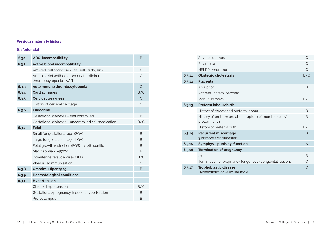### **Previous maternity history**

### **6.3 Antenatal**

| 6.3.1  | <b>ABO-incompatibility</b>                                               | <sub>B</sub>  |
|--------|--------------------------------------------------------------------------|---------------|
| 6.3.2  | <b>Active blood incompatibility</b>                                      |               |
|        | Anti-red cell antibodies (Rh, Kell, Duffy, Kidd)                         | C             |
|        | Anti-platelet antibodies (neonatal alloimmune<br>thrombocytopenia- NAIT) | C             |
| 6.3.3  | Autoimmune thrombocytopenia                                              | $\mathcal{C}$ |
| 6.3.4  | <b>Cardiac issues</b>                                                    | B/C           |
| 6.3.5  | <b>Cervical weakness</b>                                                 | $\mathcal{C}$ |
|        | History of cervical cerclage                                             | C             |
| 6.3.6  | <b>Endocrine</b>                                                         |               |
|        | Gestational diabetes - diet controlled                                   | B             |
|        | Gestational diabetes - uncontrolled +/- medication                       | B/C           |
| 6.3.7  | Fetal                                                                    |               |
|        | Small for gestational age (SGA)                                          | B             |
|        | Large for gestational age (LGA)                                          | <sub>B</sub>  |
|        | Fetal growth restriction (FGR) - < 10th centile                          | <sub>B</sub>  |
|        | Macrosomia - >4500g                                                      | B             |
|        | Intrauterine fetal demise (IUFD)                                         | B/C           |
|        | Rhesus isoimmunisation                                                   | $\mathcal{C}$ |
| 6.3.8  | Grandmultiparity ≥5                                                      | <sub>B</sub>  |
| 6.3.9  | <b>Haematological conditions</b>                                         |               |
| 6.3.10 | Hypertension                                                             |               |
|        | Chronic hypertension                                                     | B/C           |
|        | Gestational/pregnancy-induced hypertension                               | B             |
|        | Pre-eclampsia                                                            | B             |

|        | Severe eclampsia                                                       | $\mathcal{C}$ |
|--------|------------------------------------------------------------------------|---------------|
|        | Eclampsia                                                              |               |
|        | <b>HELPP</b> syndrome                                                  | $\mathcal{C}$ |
| 6.3.11 | <b>Obstetric cholestasis</b>                                           | B/C           |
| 6.3.12 | <b>Placenta</b>                                                        |               |
|        | Abruption                                                              | <sub>B</sub>  |
|        | Accreta, increta, percreta                                             | $\subset$     |
|        | Manual removal                                                         | B/C           |
| 6.3.13 | Preterm labour/birth                                                   |               |
|        | History of threatened preterm labour                                   | <sub>B</sub>  |
|        | History of preterm prelabour rupture of membranes +/-<br>preterm birth | <sub>B</sub>  |
|        | History of preterm birth                                               | B/C           |
| 6.3.14 | <b>Recurrent miscarriage</b><br>3 or more first trimester              | <sub>B</sub>  |
| 6.3.15 | Symphysis pubis dysfunction                                            | A             |
| 6.3.16 | <b>Termination of pregnancy</b>                                        |               |
|        | >3                                                                     | <sub>B</sub>  |
|        | Termination of pregnancy for genetic/congenital reasons                | C             |
| 6.3.17 | <b>Trophoblastic disease</b><br>Hydatidiform or vesicular mole         | $\mathsf{C}$  |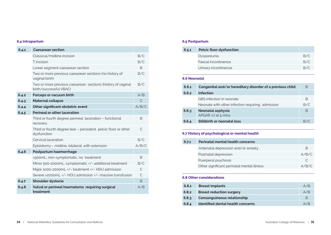### **6.4 Intrapartum 6.5 Postpartum**

| 6.4.1 | <b>Caesarean section</b>                                                              |              |
|-------|---------------------------------------------------------------------------------------|--------------|
|       | Classical/midline incision                                                            | B/C          |
|       | T incision                                                                            | B/C          |
|       | Lower segment caesarean section                                                       | B.           |
|       | Two or more previous caesarean sections (no history of<br>vaginal birth)              | B/C          |
|       | Two or more previous caesarean sections (history of vaginal<br>birth/successful VBAC) | B/C          |
| 6.4.2 | Forceps or vacuum birth                                                               | A/B          |
| 6.4.3 | <b>Maternal collapse</b>                                                              | $\subset$    |
| 6.4.4 | Other significant obstetric event                                                     | A/B/C        |
| 6.4.5 | <b>Perineal or other laceration</b>                                                   |              |
|       | Third or fourth degree perineal laceration - functional<br>recovery                   | <sub>B</sub> |
|       | Third or fourth degree tear – persistent pelvic floor or other<br>dysfunction         | C            |
|       | Cervical laceration                                                                   | B/C          |
|       | Episiotomy - midline, bilateral, with extension                                       | A/B/C        |
| 6.4.6 | Postpartum haemorrhage                                                                |              |
|       | >500mL, non-symptomatic, no treatment                                                 | B.           |
|       | Minor 500-1000mL, symptomatic +/- additional treatment                                | B/C          |
|       | Major 1000-2000mL +/- treatment +/- HDU admission                                     | C            |
|       | Severe >2000mL +/- HDU admission +/- massive transfusion                              | C            |
| 6.4.7 | Shoulder dystocia                                                                     | <sub>B</sub> |
| 6.4.8 | Vulval or perineal haematoma requiring surgical<br>treatment                          | A/B          |

| 6.5.1 | <b>Pelvic floor dysfunction</b> |     |
|-------|---------------------------------|-----|
|       | Dyspareunia                     | B/C |
|       | Faecal incontinence             | B/C |
|       | Urinary incontinence            | B/C |
|       |                                 |     |

### **6.6 Neonatal**

| 6.6.1 | Congenital and/or hereditary disorder of a previous child | В   |
|-------|-----------------------------------------------------------|-----|
| 6.6.2 | <b>Infection</b>                                          |     |
|       | GBS infection in neonate                                  | В   |
|       | Neonate with other infection requiring admission          | B/C |
| 6.6.3 | Neonatal asphyxia<br>APGAR <7 at 5 mins                   | B   |
| 6.6.4 | Stillbirth or neonatal loss                               | B/C |

### **6.7 History of psychological or mental health**

| 6.7.1 | <b>Perinatal mental health concerns</b>    |           |
|-------|--------------------------------------------|-----------|
|       | Antenatal depression and/or anxiety        | B         |
|       | Postnatal depression                       | A/B/C     |
|       | Puerperal psychosis                        | $\subset$ |
|       | Other significant perinatal mental illness | A/B/C     |

### **6.8 Other considerations**

| 6.8.1 | <b>Breast implants</b>            | A/B |
|-------|-----------------------------------|-----|
| 6.8.2 | <b>Breast reduction surgery</b>   | A/B |
| 6.8.3 | Consanguineous relationship       |     |
| 6,8.4 | Identified dental health concerns | A/R |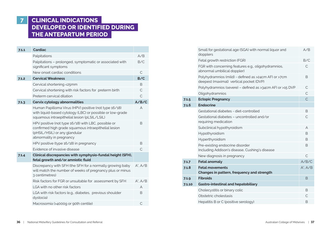# **7 CLINICAL INDICATIONS DEVELOPED OR IDENTIFIED DURING THE ANTEPARTUM PERIOD**

| 7.1.1 | Cardiac                                                                                                                                                                  |               |
|-------|--------------------------------------------------------------------------------------------------------------------------------------------------------------------------|---------------|
|       | Palpitations                                                                                                                                                             | A/B           |
|       | Palpitations - prolonged, symptomatic or associated with<br>significant symptoms                                                                                         | B/C           |
|       | New onset cardiac conditions                                                                                                                                             | C             |
| 7.1.2 | <b>Cervical Weakness</b>                                                                                                                                                 | B/C           |
|       | Cervical shortening <25mm                                                                                                                                                | B             |
|       | Cervical shortening with risk factors for preterm birth                                                                                                                  | $\mathcal{C}$ |
|       | Preterm cervical dilation                                                                                                                                                | C             |
| 7.1.3 | Cervix cytology abnormalities                                                                                                                                            | A/B/C         |
|       | Human Papilloma Virus (HPV) positive (not type 16/18)<br>with liquid-based cytology (LBC) or possible or low-grade<br>squamous intraepithelial lesion (pLSIL/LSIL)       | A             |
|       | HPV positive (not type 16/18) with LBC, possible or<br>confirmed high grade squamous intraepithelial lesion<br>(pHSIL/HSIL) or any glandular<br>abnormality in pregnancy | B.            |
|       | HPV positive (type 16/18) in pregnancy                                                                                                                                   | B             |
|       | Evidence of invasive disease                                                                                                                                             | C             |
| 7.1.4 | Clinical discrepancies with symphysio-fundal height (SFH),<br>fetal growth and/or amniotic fluid                                                                         |               |
|       | Discrepancy with SFH (the SFH for a normally growing baby<br>will match the number of weeks of pregnancy plus or minus<br>3 centimetres)                                 | $A^*$ . $A/B$ |
|       | Risk factors for FGR or unsuitable for assessment by SFH                                                                                                                 | $A^*$ . $A/B$ |
|       | LGA with no other risk factors                                                                                                                                           | A             |
|       | LGA with risk factors (e.g., diabetes, previous shoulder<br>dystocia)                                                                                                    | B             |
|       | Macrosomia (>4000g or 90th centile)                                                                                                                                      | C             |

|        | Small for gestational age (SGA) with normal liquor and<br>dopplers                              | A/B           |
|--------|-------------------------------------------------------------------------------------------------|---------------|
|        | Fetal growth restriction (FGR)                                                                  | B/C           |
|        | FGR with concerning features e.g., oligohydramnios,<br>abnormal umbilical doppler)              | C             |
|        | Polyhydramnios (mild) - defined as >24cm AFI or >7cm<br>deepest (maximal) vertical pocket (DVP) | B             |
|        | Polyhydramnios (severe) - defined as >34cm AFI or >15 DVP                                       | $\mathsf{C}$  |
|        | Oligohydramnios                                                                                 | C             |
| 7.1.5  | <b>Ectopic Pregnancy</b>                                                                        | $\mathsf{C}$  |
| 7.1.6  | <b>Endocrine</b>                                                                                |               |
|        | Gestational diabetes - diet-controlled                                                          | B             |
|        | Gestational diabetes - uncontrolled and/or<br>requiring medication                              | C             |
|        | Subclinical hypothyroidism                                                                      | A             |
|        | Hypothyroidism                                                                                  | B             |
|        | Hyperthyroidism                                                                                 | B.            |
|        | Pre-existing endocrine disorder<br>Including Addison's disease, Cushing's disease               | B             |
|        | New diagnosis in pregnancy                                                                      | $\mathsf{C}$  |
| 7.1.7  | <b>Fetal anomaly</b>                                                                            | A/B/C         |
| 7.1.8  | <b>Fetal movements</b><br>Changes in pattern, frequency and strength                            | $A^*$ . $A/B$ |
| 7.1.9  | <b>Fibroids</b>                                                                                 | B             |
| 7.1.10 | Gastro-intestinal and hepatobiliary                                                             |               |
|        | Cholecystitis or binary colic                                                                   | B             |
|        | Obstetric cholestasis                                                                           | C             |
|        | Hepatitis B or C (positive serology)                                                            | B             |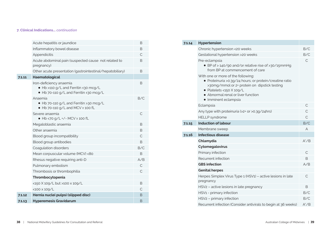### **7. Clinical Indications...** *continuation*

|        | Acute hepatitis or jaundice                                                                               | В            |
|--------|-----------------------------------------------------------------------------------------------------------|--------------|
|        | Inflammatory bowel disease                                                                                | B            |
|        | Appendicitis                                                                                              | C            |
|        | Acute abdominal pain (suspected cause not related to<br>pregnancy)                                        | B            |
|        | Other acute presentation (gastrointestinal/hepatobiliary)                                                 | B            |
| 7.1.11 | Haematological                                                                                            |              |
|        | Iron-deficiency anaemia<br>● Hb >110 g/L and Ferritin ≤30 mcg/L<br>● Hb 70-110 g/L and Ferritin ≤30 mcg/L | В            |
|        | Anaemia<br>• Hb 70-110 g/L and Ferritin >30 mcg/L<br>$\bullet$ Hb 70-110 g/L and MCV $\ge$ 100 fL         | B/C          |
|        | Severe anaemia<br>● Hb <70 g/L +/- MCV ≥ 100 fL                                                           | C            |
|        | Megaloblastic anaemia                                                                                     | B            |
|        | Other anaemia                                                                                             | B            |
|        | Blood group incompatibility                                                                               | $\mathsf{C}$ |
|        | Blood group antibodies                                                                                    | B            |
|        | Coagulation disorders                                                                                     | B/C          |
|        | Mean corpuscular volume (MCV) <80                                                                         | B            |
|        | Rhesus negative requiring anti-D                                                                          | A/B          |
|        | Pulmonary embolism                                                                                        | $\mathsf{C}$ |
|        | Thrombosis or thrombophilia                                                                               | $\mathsf{C}$ |
|        | Thrombocytopenia                                                                                          |              |
|        | <150 X 109/L but >100 x 109/L                                                                             | B            |
|        | $<$ 100 $\times$ 109/L                                                                                    | C            |
| 7.1.12 | Hernia nuclei pulpsi (slipped disc)                                                                       | <sub>B</sub> |
| 7.1.13 | <b>Hyperemesis Gravidarum</b>                                                                             | В            |

| 7.1.14 | Hypertension                                                                                                                                                                                                                                                                                                                                                       |              |
|--------|--------------------------------------------------------------------------------------------------------------------------------------------------------------------------------------------------------------------------------------------------------------------------------------------------------------------------------------------------------------------|--------------|
|        | Chronic hypertension <20 weeks                                                                                                                                                                                                                                                                                                                                     | B/C          |
|        | Gestational hypertension >20 weeks                                                                                                                                                                                                                                                                                                                                 | B/C          |
|        | Pre-eclampsia<br>• BP of > 140/90 and/or relative rise of >30/15mmHg<br>from BP at commencement of care<br>With one or more of the following:<br>• Proteinuria > 0.3g/24 hours; or protein/creatine ratio<br>>30mg/mmol or 2+ protein on dipstick testing<br>$\bullet$ Platelets <150 $\times$ 109/L<br>• Abnormal renal or liver function<br>• Imminent eclampsia | C            |
|        | Eclampsia                                                                                                                                                                                                                                                                                                                                                          | C            |
|        | Any type with proteinuria (>2+ or >0.3g/24hrs)                                                                                                                                                                                                                                                                                                                     | $\mathsf{C}$ |
|        | <b>HELLP</b> syndrome                                                                                                                                                                                                                                                                                                                                              | $\subset$    |
| 7.1.15 | <b>Induction of labour</b>                                                                                                                                                                                                                                                                                                                                         | B/C          |
|        | Membrane sweep                                                                                                                                                                                                                                                                                                                                                     | A            |
| 7.1.16 | <b>Infectious disease</b>                                                                                                                                                                                                                                                                                                                                          |              |
|        | Chlamydia                                                                                                                                                                                                                                                                                                                                                          | $A^*/B$      |
|        | Cytomegalovirus                                                                                                                                                                                                                                                                                                                                                    |              |
|        | Primary infection                                                                                                                                                                                                                                                                                                                                                  | $\mathsf{C}$ |
|        | Recurrent infection                                                                                                                                                                                                                                                                                                                                                | B            |
|        | <b>GBS</b> infection                                                                                                                                                                                                                                                                                                                                               | A/B          |
|        | <b>Genital herpes</b>                                                                                                                                                                                                                                                                                                                                              |              |
|        | Herpes Simplex Virus Type 1 (HSV1) - active lesions in late<br>pregnancy                                                                                                                                                                                                                                                                                           | С            |
|        | HSV <sub>2</sub> – active lesions in late pregnancy                                                                                                                                                                                                                                                                                                                | B            |
|        | HSV1 - primary infection                                                                                                                                                                                                                                                                                                                                           | B/C          |
|        | HSV2 - primary infection                                                                                                                                                                                                                                                                                                                                           | B/C          |
|        | Recurrent infection (Consider antivirals to begin at 36 weeks)                                                                                                                                                                                                                                                                                                     | $A^*/B$      |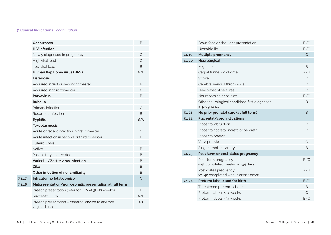### **7. Clinical Indications...** *continuation*

|        | Gonorrhoea                                                        | B            |
|--------|-------------------------------------------------------------------|--------------|
|        | <b>HIV</b> infection                                              |              |
|        | Newly diagnosed in pregnancy                                      | С            |
|        | High viral load                                                   | C            |
|        | Low viral load                                                    | B            |
|        | Human Papilloma Virus (HPV)                                       | A/B          |
|        | Listeriosis                                                       |              |
|        | Acquired in first or second trimester                             | B            |
|        | Acquired in third trimester                                       | C            |
|        | <b>Parvovirus</b>                                                 | B            |
|        | Rubella                                                           |              |
|        | Primary infection                                                 | $\mathsf{C}$ |
|        | Recurrent infection                                               | B            |
|        | <b>Syphilis</b>                                                   | B/C          |
|        | <b>Toxoplasmosis</b>                                              |              |
|        | Acute or recent infection in first trimester                      | С            |
|        | Acute infection in second or third trimester                      | B            |
|        | <b>Tuberculosis</b>                                               |              |
|        | Active                                                            | B            |
|        | Past history and treated                                          | B            |
|        | Varicella/Zoster virus infection                                  | B            |
|        | <b>Zika</b>                                                       | B            |
|        | Other infection of no familiarity                                 | B            |
| 7.1.17 | Intrauterine fetal demise                                         | $\mathsf{C}$ |
| 7.1.18 | Malpresentation/non cephalic presentation at full term            |              |
|        | Breech presentation (refer for ECV at 36-37 weeks)                | B            |
|        | Successful FCV                                                    | A/B          |
|        | Breech presentation - maternal choice to attempt<br>vaginal birth | B/C          |

|        | Brow, face or shoulder presentation                           | B/C           |
|--------|---------------------------------------------------------------|---------------|
|        | Unstable lie                                                  | B/C           |
| 7.1.19 | <b>Multiple pregnancy</b>                                     | $\mathcal{C}$ |
| 7.1.20 | <b>Neurological</b>                                           |               |
|        | Migraines                                                     | B             |
|        | Carpal tunnel syndrome                                        | A/B           |
|        | <b>Stroke</b>                                                 | C             |
|        | Cerebral venous thrombosis                                    | C             |
|        | New onset of seizures                                         | C             |
|        | Neuropathies or palsies                                       | B/C           |
|        | Other neurological conditions first diagnosed<br>in pregnancy | B             |
| 7.1.21 | No prior prenatal care (at full term)                         | <sub>B</sub>  |
| 7.1.22 | Placental/cord indications                                    |               |
|        | Placental abruption                                           | C             |
|        | Placenta accreta, increta or percreta                         | $\subset$     |
|        | Placenta praevia                                              | $\mathcal{C}$ |
|        | Vasa praevia                                                  | C.            |
|        | Single umbilical artery                                       | B             |
| 7.1.23 | Post-term or post-dates pregnancy                             |               |
|        | Post-term pregnancy<br>(≥42 completed weeks or 294 days)      | B/C           |
|        | Post-dates pregnancy<br>(41-42 completed weeks or 287 days)   | A/B           |
| 7.1.24 | Preterm labour and/or birth                                   | B/C           |
|        | Threatened preterm labour                                     | B             |
|        | Preterm labour <34 weeks                                      | C             |
|        | Preterm labour >34 weeks                                      | B/C           |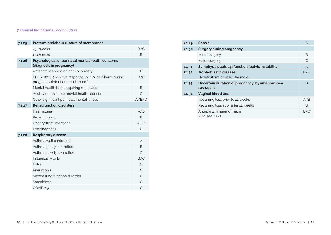### **7. Clinical Indications...** *continuation*

| 7.1.25 | Preterm prelabour rupture of membranes                                                      |               |
|--------|---------------------------------------------------------------------------------------------|---------------|
|        | <34 weeks                                                                                   | B/C           |
|        | >34 weeks                                                                                   | B.            |
| 7.1.26 | Psychological or perinatal mental health concerns<br>(diagnosis in pregnancy)               |               |
|        | Antenatal depression and/or anxiety                                                         | B             |
|        | EPDS >12 OR positive response to Q10 self-harm during<br>pregnancy (intention to self-harm) | B/C           |
|        | Mental health issue requiring medication                                                    | B             |
|        | Acute and unstable mental health concern                                                    | $\subset$     |
|        | Other significant perinatal mental illness                                                  | A/B/C         |
| 7.1.27 | <b>Renal function disorders</b>                                                             |               |
|        | Haematuria                                                                                  | A/B           |
|        | Proteinuria (≥2)                                                                            | B             |
|        | <b>Urinary Tract Infections</b>                                                             | $A^*/B$       |
|        | Pyelonephritis                                                                              | C             |
| 7.1.28 | <b>Respiratory disease</b>                                                                  |               |
|        | Asthma well controlled                                                                      | A             |
|        | Asthma partly controlled                                                                    | B.            |
|        | Asthma poorly controlled                                                                    | $\mathcal{C}$ |
|        | Influenza $(A \text{ or } B)$                                                               | B/C           |
|        | H1N1                                                                                        | C             |
|        | Pneumonia                                                                                   | C             |
|        | Severe lung function disorder                                                               | $\subset$     |
|        | Sarcoidosis                                                                                 | C             |
|        | COVID-19                                                                                    | C             |

| 7.1.29 | <b>Sepsis</b>                                                  | $\subset$ |
|--------|----------------------------------------------------------------|-----------|
| 7.1.30 | <b>Surgery during pregnancy</b>                                |           |
|        | Minor surgery                                                  | B         |
|        | Major surgery                                                  | $\subset$ |
| 7.1.31 | Symphysis pubis dysfunction (pelvic instability)               | A         |
| 7.1.32 | <b>Trophoblastic disease</b><br>Hydatidiform or vesicular mole | B/C       |
| 7.1.33 | Uncertain duration of pregnancy by amenorrhoea<br>>20weeks     | B         |
| 7.1.34 | <b>Vaginal blood loss</b>                                      |           |
|        | Recurring loss prior to 12 weeks                               | A/B       |
|        | Recurring loss at or after 12 weeks                            | R         |
|        | Antepartum haemorrhage<br>Also see 7.1.21                      | B/C       |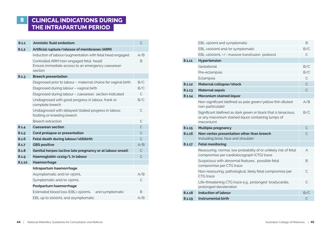# **8 CLINICAL INDICATIONS DURING THE INTRAPARTUM PERIOD**

| 8.1.1  | <b>Amniotic fluid embolism</b>                                                                          | C              |
|--------|---------------------------------------------------------------------------------------------------------|----------------|
| 8.1.2  | Artificial rupture/release of membranes (ARM)                                                           |                |
|        | Induction of labour/augmentation with fetal head engaged                                                | A/B            |
|        | Controlled ARM (non-engaged fetal head)<br>Ensure immediate access to an emergency caesarean<br>section | B.             |
| 8.1.3  | <b>Breech presentation</b>                                                                              |                |
|        | Diagnosed prior to labour - maternal choice for vaginal birth                                           | B/C            |
|        | Diagnosed during labour - vaginal birth                                                                 | B/C            |
|        | Diagnosed during labour - caesarean section indicated                                                   | $\mathsf{C}$   |
|        | Undiagnosed with good progress in labour, frank or<br>complete breech                                   | B/C            |
|        | Undiagnosed with delayed/stalled progress in labour,<br>footling or kneeling breech                     | C              |
|        | <b>Breech extraction</b>                                                                                | C              |
| 8.1.4  | <b>Caesarean section</b>                                                                                | $\overline{C}$ |
| 8.1.5  | Cord prolapse or presentation                                                                           | $\mathsf{C}$   |
| 8.1.6  | Fetal death during labour/stillbirth                                                                    | $\overline{C}$ |
| 8.1.7  | <b>GBS positive</b>                                                                                     | A/B            |
| 8.1.8  | Genital herpes (active late pregnancy or at labour onset)                                               | $\mathsf{C}$   |
| 8.1.9  | Haemoglobin <110g/L in labour                                                                           | $\mathsf{C}$   |
| 8.1.10 | Haemorrhage                                                                                             |                |
|        | Intrapartum haemorrhage                                                                                 |                |
|        | Asymptomatic and/or <50mL                                                                               | A/B            |
|        | Symptomatic and/or >50mL                                                                                | $\mathcal{C}$  |
|        | Postpartum haemorrhage                                                                                  |                |
|        | Estimated blood loss (EBL) <500mL<br>and symptomatic                                                    | B.             |
|        | EBL up to 1000mL and asymptomatic                                                                       | A/B            |

|        | EBL >500ml and symptomatic                                                                                                        | <sub>B</sub>   |
|--------|-----------------------------------------------------------------------------------------------------------------------------------|----------------|
|        | EBL >1000ml and/or symptomatic                                                                                                    | B/C            |
|        | EBL >2000mL +/- massive transfusion protocol                                                                                      | С              |
| 8.1.11 | Hypertension                                                                                                                      |                |
|        | Gestational                                                                                                                       | B/C            |
|        | Pre-eclampsia                                                                                                                     | B/C            |
|        | Eclampsia                                                                                                                         | C              |
| 8.1.12 | Maternal collapse/shock                                                                                                           | $\overline{C}$ |
| 8.1.13 | <b>Maternal sepsis</b>                                                                                                            | $\overline{C}$ |
| 8.1.14 | <b>Meconium stained liquor</b>                                                                                                    |                |
|        | Non-significant (defined as pale green/yellow thin diluted<br>non-particulate)                                                    | A/B            |
|        | Significant (defined as dark green or black that is tenacious,<br>or any meconium stained liquor containing lumps of<br>meconium) | B/C            |
| 8.1.15 | <b>Multiple pregnancy</b>                                                                                                         | $\mathsf{C}$   |
| 8.1.16 | Non-vertex presentation other than breech<br>Including brow, face and shoulder                                                    | $\overline{C}$ |
| 8.1.17 | <b>Fetal monitoring</b>                                                                                                           |                |
|        | Reassuring, normal, low probability of or unlikely risk of fetal<br>compromise per cardiotocograph (CTG) trace                    | A              |
|        | Suspicious with abnormal features, possible fetal<br>compromise per CTG trace                                                     | B.             |
|        | Non-reassuring, pathological, likely fetal compromise per<br>CTG trace                                                            | C.             |
|        | Life-threatening CTG trace e.g., prolonged bradycardia,<br>prolonged deceleration                                                 | $\mathcal{C}$  |
| 8.1.18 | <b>Induction of labour</b>                                                                                                        | B/C            |
| 8.1.19 | <b>Instrumental birth</b>                                                                                                         | $\mathsf{C}$   |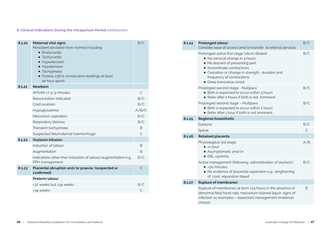### **8. Clinical Indications During the Intrapartum Period** *continuation*

| 8.1.20 | <b>Maternal vital signs</b><br>Persistent deviation from normal including:<br>· Bradycardia<br>· Tachycardia<br>• Hypertension<br>• Hypotension<br>• Tachypnoea<br>• Pyrexia >38 (2 consecutive readings at least<br>an hour apart) | B/C          |
|--------|-------------------------------------------------------------------------------------------------------------------------------------------------------------------------------------------------------------------------------------|--------------|
| 8.1.21 | <b>Newhorn</b>                                                                                                                                                                                                                      |              |
|        | APGAR $<$ 7 @ 5 minutes                                                                                                                                                                                                             | C            |
|        | Resuscitation indicated                                                                                                                                                                                                             | B/C          |
|        | Cord avulsion                                                                                                                                                                                                                       | B/C          |
|        | Hypoglycaemia                                                                                                                                                                                                                       | A/B/C        |
|        | Meconium aspiration                                                                                                                                                                                                                 | B/C          |
|        | Respiratory distress                                                                                                                                                                                                                | B/C          |
|        | Transient tachypnoea                                                                                                                                                                                                                | B            |
|        | Suspected fetomaternal haemorrhage                                                                                                                                                                                                  | $\mathsf{C}$ |
| 8.1.22 | <b>Oxytocin infusion</b>                                                                                                                                                                                                            |              |
|        | Induction of labour                                                                                                                                                                                                                 | <sub>R</sub> |
|        | Augmentation                                                                                                                                                                                                                        | B.           |
|        | Indications other than induction of labour/augmentation e.g.,<br>PPH management                                                                                                                                                     | B/C          |
| 8.1.23 | Placental abruption and/or praevia (suspected or<br>confirmed)                                                                                                                                                                      | C            |
|        | <b>Preterm labour</b>                                                                                                                                                                                                               |              |
|        | <37 weeks but >34 weeks                                                                                                                                                                                                             | B/C          |
|        | <34 weeks                                                                                                                                                                                                                           | C            |

| 8.1.24 | <b>Prolonged labour</b><br>Consider ease of access and/or transfer to referral services                                                                                                                                                                       | B/C |
|--------|---------------------------------------------------------------------------------------------------------------------------------------------------------------------------------------------------------------------------------------------------------------|-----|
|        | Prolonged active first stage (>6cm dilated)<br>• No cervical change in 4 hours<br>• Nil descent of presenting part<br>• Incoordinate contractions<br>• Cessation or change in strength, duration and<br>frequency of contractions<br>• Deep transverse arrest | B/C |
|        | Prolonged second stage - Nullipara<br>• Birth is expected to occur within 3 hours<br>• Refer after 2 hours if birth is not imminent                                                                                                                           | B/C |
|        | Prolonged second stage - Multipara<br>• Birth is expected to occur within 2 hours<br>• Refer after 1 hour if birth is not imminent                                                                                                                            | B/C |
| 8.1.25 | <b>Regional Anaesthetic</b>                                                                                                                                                                                                                                   |     |
|        | Epidural                                                                                                                                                                                                                                                      | B/C |
|        | Spinal                                                                                                                                                                                                                                                        | С   |
| 8.1.26 | <b>Retained placenta</b>                                                                                                                                                                                                                                      |     |
|        | Physiological 3rd stage<br>$\bullet$ >1 hour<br>• Asymptomatic and/or<br>• EBL <500mls                                                                                                                                                                        | A/B |
|        | Active management (following administration of oxytocic)<br>$\bullet$ >30 minutes<br>• No evidence of placental separation e.g., lengthening<br>of cord, separation bleed                                                                                     | B/C |
| 8.1.27 | <b>Rupture of membranes</b>                                                                                                                                                                                                                                   |     |
|        | Rupture of membranes at term >24 hours in the absence of<br>abnormal fetal heart rate, meconium stained liquor, signs of<br>infection as examples - expectant management (maternal<br>choice)                                                                 | B   |
|        |                                                                                                                                                                                                                                                               |     |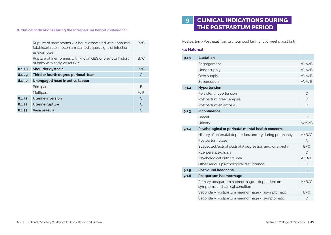### **8. Clinical Indications During the Intrapartum Period** *continuation*

|        | Rupture of membranes >24 hours associated with abnormal<br>fetal heart rate, meconium stained liquor, signs of infection<br>as examples | B/C |
|--------|-----------------------------------------------------------------------------------------------------------------------------------------|-----|
|        | Rupture of membranes with known GBS or previous history<br>of baby with early-onset GBS                                                 | B/C |
| 8.1.28 | Shoulder dystocia                                                                                                                       | B/C |
| 8.1.29 | Third or fourth degree perineal tear                                                                                                    | C   |
| 8.1.30 | Unengaged head in active labour                                                                                                         |     |
|        | Primipara                                                                                                                               | B   |
|        | Multipara                                                                                                                               | A/B |
| 8.1.31 | <b>Uterine inversion</b>                                                                                                                | C   |
| 8.1.32 | <b>Uterine rupture</b>                                                                                                                  |     |
| 8.1.33 | Vasa praevia                                                                                                                            |     |

# **9 CLINICAL INDICATIONS DURING THE POSTPARTUM PERIOD**

Postpartum/Postnatal from 1st hour post birth until 6 weeks post birth

### **9.1 Maternal**

| Lactation                                                                        |                |
|----------------------------------------------------------------------------------|----------------|
| Engorgement                                                                      | $A^*$ , $A/B$  |
| Under supply                                                                     | $A^*$ . $A/B$  |
| Over supply                                                                      | $A^*$ . $A/B$  |
| Suppression                                                                      | $A^*$ . $A/B$  |
| Hypertension                                                                     |                |
| Persistent hypertension                                                          | $\mathsf{C}$   |
| Postpartum preeclampsia                                                          | C              |
| Postpartum eclampsia                                                             | C              |
| Incontinence                                                                     |                |
| Faecal                                                                           | $\mathcal{C}$  |
| Urinary                                                                          | $A/A^*/B$      |
| Psychological or perinatal mental health concerns                                |                |
| History of antenatal depression/anxiety during pregnancy                         | A/B/C          |
| Postpartum blues                                                                 | $\overline{A}$ |
| Suspected/actual postnatal depression and/or anxiety                             | B/C            |
| Puerperal psychosis                                                              | $\mathcal{C}$  |
| Psychological birth trauma                                                       | A/B/C          |
| Other serious psychological disturbance                                          | C              |
| Post-dural headache                                                              | $\mathsf{C}$   |
| Postpartum haemorrhage                                                           |                |
| Primary postpartum haemorrhage - dependent on<br>symptoms and clinical condition | A/B/C          |
| Secondary postpartum haemorrhage - asymptomatic                                  | B/C            |
| Secondary postpartum haemorrhage - symptomatic                                   | C              |
|                                                                                  |                |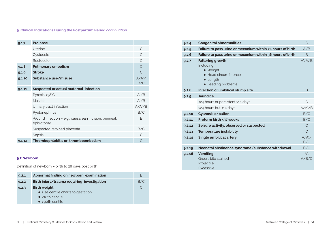### **9. Clinical Indications During the Postpartum Period** *continuation*

| 9.1.7  | <b>Prolapse</b>                                                     |                      |
|--------|---------------------------------------------------------------------|----------------------|
|        | <b>Uterine</b>                                                      | C                    |
|        | Cystocele                                                           | C.                   |
|        | Rectocele                                                           | $\subset$            |
| 9.1.8  | <b>Pulmonary embolism</b>                                           | $\mathsf{C}$         |
| 9.1.9  | <b>Stroke</b>                                                       | $\subset$            |
| 9.1.10 | Substance use/misuse                                                | $A/A^{\ast}/$<br>B/C |
| 9.1.11 | Suspected or actual maternal infection                              |                      |
|        | Pyrexia >38°C                                                       | $A^*/B$              |
|        | <b>Mastitis</b>                                                     | $A^*/B$              |
|        | Urinary tract infection                                             | $A/A^*/B$            |
|        | Pyelonephritis                                                      | B/C                  |
|        | Wound infection - e.g., caesarean incision, perineal,<br>episiotomy | B.                   |
|        | Suspected retained placenta                                         | B/C                  |
|        | Sepsis                                                              |                      |
| 9.1.12 | Thrombophlebitis or thromboembolism                                 |                      |

### **9.2 Newborn**

Definition of newborn – birth to 28 days post birth

| 9.2.1 | Abnormal finding on newborn examination     | B   |
|-------|---------------------------------------------|-----|
| 9.2.2 | Birth injury/trauma requiring investigation | B/C |
| 9.2.3 | <b>Birth weight</b>                         | C   |
|       | • Use centile charts to gestation           |     |
|       | $\bullet$ <10th centile                     |     |
|       | $\bullet$ >90th centile                     |     |

| 9.2.4  | <b>Congenital abnormalities</b>                                                                                     |                  |  |  |
|--------|---------------------------------------------------------------------------------------------------------------------|------------------|--|--|
| 9.2.5  | Failure to pass urine or meconium within 24 hours of birth                                                          | A/B              |  |  |
| 9.2.6  | Failure to pass urine or meconium within 36 hours of birth                                                          | B                |  |  |
| 9.2.7  | <b>Faltering growth</b><br>Including:<br>• Weight<br>• Head circumference<br>$\bullet$ Length<br>• Feeding problems | $A^*$ . $A/B$    |  |  |
| 9.2.8  | Infection of umbilical stump site                                                                                   | <sub>B</sub>     |  |  |
| 9.2.9  | <b>Jaundice</b>                                                                                                     |                  |  |  |
|        | <24 hours or persistent >14 days                                                                                    | C                |  |  |
|        | >24 hours but <14 days                                                                                              | $A/A^*/B$        |  |  |
| 9.2.10 | <b>Cyanosis or pallor</b>                                                                                           | B/C              |  |  |
| 9.2.11 | Preterm birth <37 weeks                                                                                             | B/C              |  |  |
| 9.2.12 | Seizure activity, observed or suspected                                                                             | C                |  |  |
| 9.2.13 | <b>Temperature instability</b>                                                                                      | $\mathsf{C}$     |  |  |
| 9.2.14 | <b>Single umbilical artery</b>                                                                                      | $A/A^*/$<br>B/C  |  |  |
| 9.2.15 | Neonatal abstinence syndrome/substance withdrawal                                                                   | B/C              |  |  |
| 9.2.16 | <b>Vomiting</b><br>Green, bile stained<br>Projectile<br><b><i><u>Excessive</u></i></b>                              | $A^*$ .<br>A/B/C |  |  |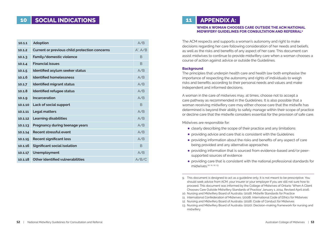# **10 SOCIAL INDICATIONS**

| 10.1.1  | <b>Adoption</b>                                      | A/B           |
|---------|------------------------------------------------------|---------------|
| 10.1.2  | <b>Current or previous child protection concerns</b> | $A^*$ . $A/B$ |
| 10.1.3  | Family/domestic violence                             | <sub>B</sub>  |
| 10.1.4  | <b>Financial issues</b>                              | <sub>B</sub>  |
| 10.1.5  | Identified asylum seeker status                      | A/B           |
| 10.16   | <b>Identified homelessness</b>                       | A/B           |
| 10.1.7  | <b>Identified migrant status</b>                     | A/B           |
| 10.1.8  | Identified refugee status                            | A/B           |
| 10.1.9  | Incarceration                                        | A/B           |
| 10.1.10 | Lack of social support                               | <sub>B</sub>  |
| 10.1.11 | <b>Legal matters</b>                                 | A/B           |
| 10.1.12 | <b>Learning disabilities</b>                         | A/B           |
| 10.1.13 | Pregnancy during teenage years                       | A/B           |
| 10.1.14 | Recent stressful event                               | A/B           |
| 10.1.15 | <b>Recent significant loss</b>                       | A/B           |
| 10.1.16 | <b>Significant social isolation</b>                  | <sub>R</sub>  |
| 10.1.17 | Unemployment                                         | A/B           |
| 10.1.18 | Other identified vulnerabilities                     | A/B/C         |

# **11 APPENDIX A:**

### **WHEN A WOMAN CHOOSES CARE OUTSIDE THE ACM NATIONAL MIDWIFERY GUIDELINES FOR CONSULTATION AND REFERRAL9**

The ACM respects and supports a woman's autonomy and right to make decisions regarding her care following consideration of her needs and beliefs, as well as the risks and benefits of any aspect of her care. This document can assist midwives to continue to provide midwifery care when a woman chooses a course of action against advice or outside the Guidelines.

### **Background**

The principles that underpin health care and health law both emphasise the importance of respecting the autonomy and rights of individuals to weigh risks and benefits according to their personal needs and values and make independent and informed decisions.

A woman in the care of midwives may, at times, choose not to accept a care pathway as recommended in the Guidelines. It is also possible that a woman receiving midwifery care may either choose care that the midwife has determined is beyond their ability to safely manage within their scope of practice or decline care that the midwife considers essential for the provision of safe care.

Midwives are responsible for:

- clearly describing the scope of their practice and any limitations
- **•** providing advice and care that is consistent with the Guidelines
- providing information about the risks and benefits of any aspect of care being provided and any alternative approaches
- providing information that is sourced from evidence-based and/or peersupported sources of evidence
- providing care that is consistent with the national professional standards for midwives.10, 11, 12, 13

9. This document is designed to act as a guideline only. It is not meant to be prescriptive. You should seek advice from ACM, your insurer or your employer if you are still not sure how to proceed. This document was informed by the College of Midwives of Ontario 'When A Client Chooses Care Outside Midwifery Standards of Practice' January 1, 2014, Revised April 2016.

10. Nursing and Midwifery Board of Australia. (2018). Midwife Standards for Practice

<sup>11.</sup> International Confederation of Midwives. (2008). International Code of Ethics for Midwives

<sup>12.</sup> Nursing and Midwifery Board of Australia. (2018). Code of Conduct for Midwives

<sup>13.</sup> Nursing and Midwifery Board of Australia. (2020). Decision-making framework for nursing and midwifery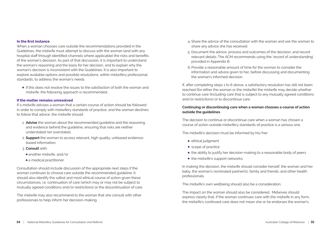### **In the first instance**

When a woman chooses care outside the recommendations provided in the Guidelines, the midwife must attempt to discuss with the woman (and with any hospital staff through identified channels where applicable) the risks and benefits of the woman's decision. As part of that discussion, it is important to understand the woman's reasoning and the basis for her decision, and to explain why the woman's decision is inconsistent with the Guidelines. It is also important to explore available options and possible resolutions, within midwifery professional standards, to address the woman's needs.

If this does not resolve the issues to the satisfaction of both the woman and midwife, the following approach is recommended.

### **If the matter remains unresolved**

If a midwife advises a woman that a certain course of action should be followed in order to comply with midwifery standards of practice, and the woman declines to follow that advice, the midwife should:

- 1. **Advise** the woman about the recommended guideline and the reasoning and evidence behind the guideline, ensuring that risks are neither understated nor overstated.
- 2. **Support** the woman to access relevant, high quality, unbiased evidencebased information.
- 3. **Consult** with:
- another midwife, and/or
- a medical practitioner.

Consultation should include discussion of the appropriate next steps if the woman continues to choose care outside the recommended guideline. It should also identify the safest and most ethical course of action given these circumstances, i.e. continuation of care (which may or may not be subject to mutually agreed conditions and/or restrictions) or the discontinuation of care.

The midwife may also recommend to the woman that she consult with other professionals to help inform her decision-making.

- 4. Share the advice of the consultation with the woman and ask the woman to share any advice she has received.
- 5. Document the advice, process and outcomes of the decision, and record relevant details. The ACM recommends using the 'record of understanding' provided in Appendix B.
- 6. Provide a reasonable amount of time for the woman to consider the information and advice given to her, before discussing and documenting the woman's informed decision.

If, after completing steps 1 to 6 above, a satisfactory resolution has still not been reached (for either the woman or the midwife) the midwife may decide whether to continue care (including care that is subject to any mutually agreed conditions and/or restrictions) or to discontinue care.

### **Continuing or discontinuing care when a woman chooses a course of action outside the guidelines**

The decision to continue or discontinue care when a woman has chosen a course of action outside midwifery standards of practice is a serious one.

The midwife's decision must be informed by his/her:

- $\bullet$  ethical judgment
- scope of practice
- the ability to justify her decision-making to a reasonable body of peers
- the midwife's support networks.

In making the decision, the midwife should consider herself, the woman and her baby, the woman's nominated partner(s), family and friends, and other health professionals.

The midwife's own wellbeing should also be a consideration.

The impact on the woman should also be considered. Midwives should express clearly that, if the woman continues care with the midwife in any form, the midwife's continued care does not mean she or he endorses the woman's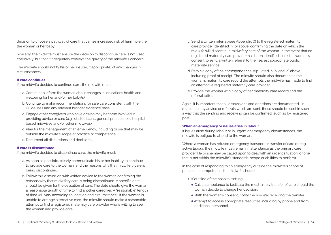decision to choose a pathway of care that carries increased risk of harm to either the woman or her baby.

Similarly, the midwife must ensure the decision to discontinue care is not used coercively, but that it adequately conveys the gravity of the midwife's concern.

The midwife should notify his or her insurer, if appropriate, of any changes in circumstances.

### **If care continues**

If the midwife decides to continue care, the midwife must:

- a. Continue to inform the woman about changes in indications health and wellbeing for her and/or her baby(s).
- b. Continue to make recommendations for safe care consistent with the Guidelines and any relevant broader evidence base.
- c. Engage other caregivers who have or who may become involved in providing advice or care (e.g., obstetricians, general practitioners, hospitalbased midwives and/or other midwives).
- d. Plan for the management of an emergency, including those that may be outside the midwife's scope of practice or competence.
- e. Document all discussions and decisions.

### **If care is discontinued**

If the midwife decides to discontinue care, the midwife must:

- a. As soon as possible, clearly communicate his or her inability to continue to provide care to the woman, and the reasons why that midwifery care is being discontinued.
- b. Follow this discussion with written advice to the woman confirming the reasons why that midwifery care is being discontinued. A specific date should be given for the cessation of care. The date should give the woman a reasonable length of time to find another caregiver. A "reasonable" length of time will vary according to location and circumstance. If the woman is unable to arrange alternative care, the midwife should make a reasonable attempt to find a registered maternity care provider who is willing to see the woman and provide care.
- c. Send a written referral (see Appendix C) to the registered maternity care provider identified in (b) above, confirming the date on which the midwife will discontinue midwifery care of the woman. In the event that no registered maternity care provider has been identified, seek the woman's consent to send a written referral to the nearest appropriate public maternity service.
- d. Retain a copy of the correspondence stipulated in (b) and (c) above including proof of receipt. The midwife should also document in the woman's maternity care record the attempts the midwife has made to find an alternative registered maternity care provider.
- e. Provide the woman with a copy of her maternity care record and the referral letter.

Again, it is important that all discussions and decisions are documented. In relation to any advice or referrals which are sent, these should be sent in such a way that the sending and receiving can be confirmed (such as by registered post).

### **When an emergency or issues arise in labour**

If issues arise during labour or in urgent or emergency circumstances, the midwife is obliged to attend to the woman.

Where a woman has refused emergency transport or transfer of care during active labour, the midwife must remain in attendance as the primary care provider. He or she may be called upon to deal with an urgent situation, or one that is not within the midwife's standards, scope or abilities to perform.

In the case of responding to an emergency outside the midwife's scope of practice or competence, the midwife should:

- 1. If outside of the hospital setting:
	- Call an ambulance to facilitate the most timely transfer of care should the woman decide to change her decision.
	- With the woman's consent, notify the hospital receiving the transfer.
	- Attempt to access appropriate resources including by phone and from additional personnel.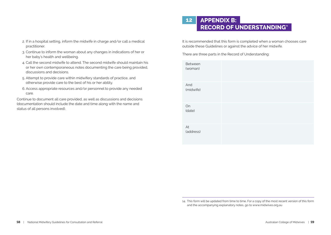- 2. If in a hospital setting, inform the midwife in charge and/or call a medical practitioner.
- 3. Continue to inform the woman about any changes in indications of her or her baby's health and wellbeing.
- 4. Call the second midwife to attend. The second midwife should maintain his or her own contemporaneous notes documenting the care being provided, discussions and decisions.
- 5. Attempt to provide care within midwifery standards of practice, and otherwise provide care to the best of his or her ability.
- 6. Access appropriate resources and/or personnel to provide any needed care.

Continue to document all care provided, as well as discussions and decisions (documentation should include the date and time along with the name and status of all persons involved).

# **12 APPENDIX B: RECORD OF UNDERSTANDING<sup>4</sup>**

It is recommended that this form is completed when a woman chooses care outside these Guidelines or against the advice of her midwife.

There are three parts in the Record of Understanding:

| Between<br>(woman) |  |  |
|--------------------|--|--|
| And<br>(midwife)   |  |  |
| On<br>(date)       |  |  |
| At<br>(address)    |  |  |

<sup>14.</sup> This form will be updated from time to time. For a copy of the most recent version of this form and the accompanying explanatory notes, go to www.midwives.org.au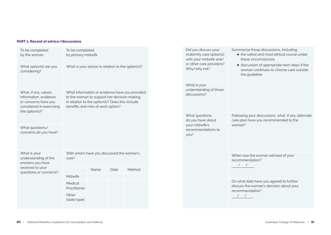### **PART 1: Record of advice/discussions**

| To be completed<br>by the woman                                                                                      | To be completed<br>by primary midwife                                                                                                                                                  |      |      |        |  |
|----------------------------------------------------------------------------------------------------------------------|----------------------------------------------------------------------------------------------------------------------------------------------------------------------------------------|------|------|--------|--|
| What option(s) are you<br>considering?                                                                               | What is your advice in relation to the option(s)?                                                                                                                                      |      |      |        |  |
| What, if any, values,<br>information, evidence<br>or concerns have you<br>considered in exercising<br>the option(s)? | What information or evidence have you provided<br>to the woman to support her decision making<br>in relation to the option(s)? Does this include<br>benefits and risks of each option? |      |      |        |  |
| What questions/<br>concerns do you have?                                                                             |                                                                                                                                                                                        |      |      |        |  |
| What is your<br>understanding of the<br>answers you have                                                             | With whom have you discussed the woman's<br>care?                                                                                                                                      |      |      |        |  |
| received to your<br>questions or concerns?                                                                           |                                                                                                                                                                                        | Name | Date | Method |  |
|                                                                                                                      | Midwife                                                                                                                                                                                |      |      |        |  |
|                                                                                                                      | Medical<br>Practitioner                                                                                                                                                                |      |      |        |  |
|                                                                                                                      | Other<br>[state type]                                                                                                                                                                  |      |      |        |  |

| Did you discuss your<br>maternity care option(s)<br>with your midwife and/<br>or other care providers?<br>Why/why not? | Summarise those discussions, including:<br>• the safest and most ethical course under<br>these circumstances<br>• discussion of appropriate next steps if the<br>woman continues to choose care outside<br>the guideline |
|------------------------------------------------------------------------------------------------------------------------|--------------------------------------------------------------------------------------------------------------------------------------------------------------------------------------------------------------------------|
| What is your<br>understanding of those<br>discussions?                                                                 |                                                                                                                                                                                                                          |
| What questions<br>do you have about<br>your midwife's<br>recommendations to<br>you?                                    | Following your discussions, what, if any, alternate<br>care plan have you recommended to the<br>woman?                                                                                                                   |
|                                                                                                                        | When was the woman advised of your<br>recommendation?<br>$\frac{1}{2}$                                                                                                                                                   |
|                                                                                                                        | On what date have you agreed to further<br>discuss the woman's decision about your<br>recommendation?<br>$\frac{1}{2}$                                                                                                   |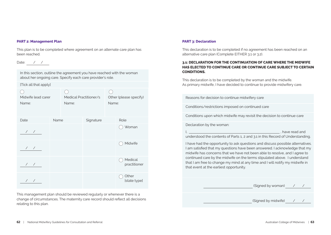### **PART 2: Management Plan**

This plan is to be completed where agreement on an alternate care plan has been reached.

### Date: / /

In this section, outline the agreement you have reached with the woman about her ongoing care. Specify each care provider's role.

[Tick all that apply]

| Midwife lead carer<br>Name: |      | Medical Practitioner/s<br>Name: |           | Other (please specify)<br>Name: |                         |
|-----------------------------|------|---------------------------------|-----------|---------------------------------|-------------------------|
| Date                        | Name |                                 | Signature |                                 | Role                    |
| $\frac{1}{2}$               |      |                                 |           |                                 | Woman                   |
| $\frac{1}{2}$               |      |                                 |           |                                 | Midwife                 |
| $\overline{\phantom{a}}$    |      |                                 |           |                                 | Medical<br>practitioner |
| $\sqrt{2}$                  |      |                                 |           |                                 | Other<br>[state type]   |

This management plan should be reviewed regularly or whenever there is a change of circumstances. The maternity care record should reflect all decisions relating to this plan.

### **PART 3: Declaration**

This declaration is to be completed if no agreement has been reached on an alternative care plan (Complete EITHER 3.1 or 3.2).

### **3.1: DECLARATION FOR THE CONTINUATION OF CARE WHERE THE MIDWIFE HAS ELECTED TO CONTINUE CARE OR CONTINUE CARE SUBJECT TO CERTAIN CONDITIONS.**

This declaration is to be completed by the woman and the midwife. As primary midwife, I have decided to continue to provide midwifery care.

Reasons for decision to continue midwifery care

Conditions/restrictions imposed on continued care

Conditions upon which midwife may revisit the decision to continue care

Declaration by the woman:

I, the contract of the contract of the contract of the contract of the contract of the contract of the contract of the contract of the contract of the contract of the contract of the contract of the contract of the contrac

understood the contents of Parts 1, 2 and 3.1 in this Record of Understanding.

I have had the opportunity to ask questions and discuss possible alternatives. I am satisfied that my questions have been answered. I acknowledge that my midwife has concerns that we have not been able to resolve, and I agree to continued care by the midwife on the terms stipulated above. I understand that I am free to change my mind at any time and I will notify my midwife in that event at the earliest opportunity.

(Signed by woman) / /

(Signed by midwife) / /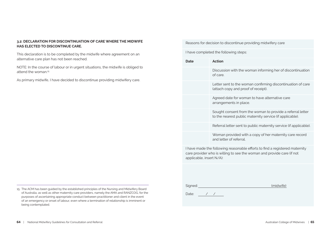### **3.2: DECLARATION FOR DISCONTINUATION OF CARE WHERE THE MIDWIFE HAS ELECTED TO DISCONTINUE CARE.**

This declaration is to be completed by the midwife where agreement on an alternative care plan has not been reached.

NOTE: In the course of labour or in urgent situations, the midwife is obliged to attend the woman.15

As primary midwife, I have decided to discontinue providing midwifery care.

15. The ACM has been guided by the established principles of the Nursing and Midwifery Board of Australia, as well as other maternity care providers, namely the AMA and RANZCOG, for the purposes of ascertaining appropriate conduct between practitioner and client in the event of an emergency or onset of labour, even where a termination of relationship is imminent or being contemplated.

I have completed the following steps: **Date Action** Discussion with the woman informing her of discontinuation of care. Letter sent to the woman confirming discontinuation of care (attach copy and proof of receipt). Agreed date for woman to have alternative care arrangements in place.

Reasons for decision to discontinue providing midwifery care

Sought consent from the woman to provide a referral letter to the nearest public maternity service (if applicable).

Referral letter sent to public maternity service (if applicable).

Woman provided with a copy of her maternity care record and letter of referral.

I have made the following reasonable efforts to find a registered maternity care provider who is willing to see the woman and provide care (if not applicable, insert N/A):

Signed: (midwife)

Date: / /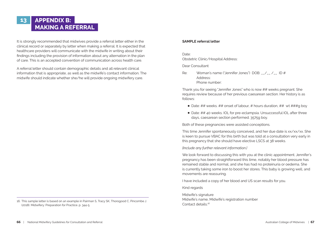# **13 APPENDIX B: MAKING A REFERRAL**

It is strongly recommended that midwives provide a referral letter either in the clinical record or separately by letter when making a referral. It is expected that healthcare providers will communicate with the midwife in writing about their findings including the provision of information about any alternation in the plan of care. This is an accepted convention of communication across health care.

A referral letter should contain demographic details and all relevant clinical information that is appropriate, as well as the midwife's contact information. The midwife should indicate whether she/he will provide ongoing midwifery care.

### **SAMPLE referral letter**

Date:

Obstetric Clinic/Hospital Address:

Dear Consultant

Re: Woman's name ("Jennifer Jones") DOB: \_\_/\_\_ /\_\_ ID # Address: Phone number:

Thank you for seeing "Jennifer Jones" who is now ## weeks pregnant. She requires review because of her previous caesarean section. Her history is as follows:

- Date: ## weeks. ## onset of labour. # hours duration. ## wt ###a boy
- Date: ## 40 weeks. IOL for pre-eclampsia. Unsuccessful IOL after three days, caesarean section performed. 3575g boy.

Both of these pregnancies were assisted conceptions.

This time Jennifer spontaneously conceived, and her due date is xx/xx/xx. She is keen to pursue VBAC for this birth but was told at a consultation very early in this pregnancy that she should have elective LSCS at 38 weeks.

*[Include any further relevant information.]*

We look forward to discussing this with you at the clinic appointment. Jennifer's pregnancy has been straightforward this time, notably her blood pressure has remained stable and normal, and she has had no proteinuria or oedema. She is currently taking some iron to boost her stores. This baby is growing well, and movements are reassuring.

I have included a copy of her blood and US scan results for you.

Kind regards

Midwife's signature Midwife's name, Midwife's registration number Contact details<sup>16</sup>

<sup>16.</sup> This sample letter is based on an example in Pairman S, Tracy SK, Thorogood C, Pincombe J. (2018). Midwifery: Preparation for Practice. p. 344-5.